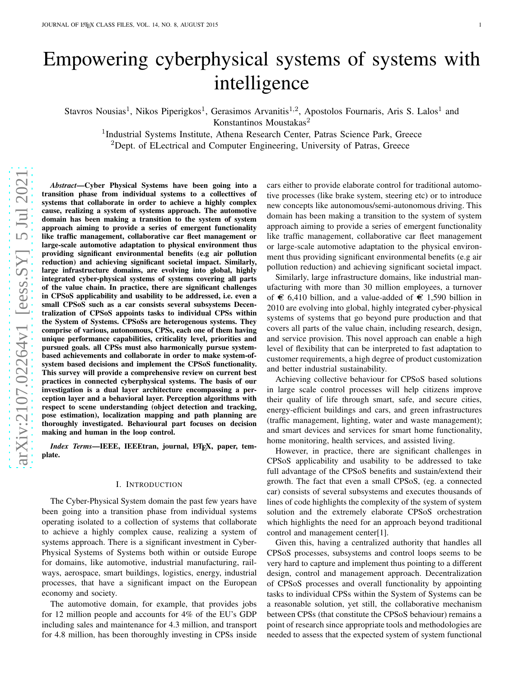# Empowering cyberphysical systems of systems with intelligence

Stavros Nousias<sup>1</sup>, Nikos Piperigkos<sup>1</sup>, Gerasimos Arvanitis<sup>1,2</sup>, Apostolos Fournaris, Aris S. Lalos<sup>1</sup> and

Konstantinos Moustakas 2

<sup>1</sup>Industrial Systems Institute, Athena Research Center, Patras Science Park, Greece

<sup>2</sup>Dept. of ELectrical and Computer Engineering, University of Patras, Greece

*Abstract*—Cyber Physical Systems have been going into a transition phase from individual systems to a collecttives of systems that collaborate in order to achieve a highly comple x cause, realizing a system of systems approach. The automotive domain has been making a transition to the system of system approach aiming to provide a series of emergent functionality like traffic management, collaborative car fleet management or large-scale automotive adaptation to physical environment thus providing significant environmental benefits (e.g air pollution reduction) and achieving significant societal impact. Similarly, large infrastructure domains, are evolving into global, highly integrated cyber-physical systems of systems covering all parts of the value chain. In practice, there are significant challenges in CPSoS applicability and usability to be addressed, i.e. even a small CPSoS such as a car consists several subsystems Decentralization of CPSoS appoints tasks to individual CPSs within the System of Systems. CPSoSs are heterogenous systems. They comprise of various, autonomous, CPSs, each one of them having unique performance capabilities, criticality level, priorities and pursued goals. all CPSs must also harmonically pursue systembased achievements and collaborate in order to make system-ofsystem based decisions and implement the CPSoS functionality. This survey will provide a comprehensive review on current best practices in connected cyberphysical systems. The basis of our investigation is a dual layer architecture encompassing a perception layer and a behavioral layer. Perception algorithms with respect to scene understanding (object detection and tracking, pose estimation), localization mapping and path planning are thoroughly investigated. Behavioural part focuses on decision making and human in the loop control.

*Index Terms*—IEEE, IEEEtran, journal, L<sup>AT</sup>EX, paper, template.

### I. INTRODUCTION

The Cyber-Physical System domain the past few years have been going into a transition phase from individual systems operating isolated to a collection of systems that collaborate to achieve a highly complex cause, realizing a system of systems approach. There is a significant investment in Cyber - Physical Systems of Systems both within or outside Europe for domains, like automotive, industrial manufacturing, railways, aerospace, smart buildings, logistics, energy, industrial processes, that have a significant impact on the European economy and society.

The automotive domain, for example, that provides jobs for 12 million people and accounts for 4% of the EU's GDP including sales and maintenance for 4.3 million, and transport for 4.8 million, has been thoroughly investing in CPSs insid e cars either to provide elaborate control for traditional automotive processes (like brake system, steering etc) or to introduce new concepts like autonomous/semi-autonomous driving. This domain has been making a transition to the system of system approach aiming to provide a series of emergent functionality like traffic management, collaborative car fleet management or large-scale automotive adaptation to the physical environment thus providing significant environmental benefits (e.g air pollution reduction) and achieving significant societal impact.

Similarly, large infrastructure domains, like industrial manufacturing with more than 30 million employees, a turnover of  $\epsilon$  6,410 billion, and a value-added of  $\epsilon$  1,590 billion in 2010 are evolving into global, highly integrated cyber-physical systems of systems that go beyond pure production and that covers all parts of the value chain, including research, design, and service provision. This novel approach can enable a high level of flexibility that can be interpreted to fast adaptation to customer requirements, a high degree of product customization and better industrial sustainability.

Achieving collective behaviour for CPSoS based solutions in large scale control processes will help citizens improve their quality of life through smart, safe, and secure cities , energy-efficient buildings and cars, and green infrastructures (traffic management, lighting, water and waste management) ; and smart devices and services for smart home functionality , home monitoring, health services, and assisted living.

However, in practice, there are significant challenges in CPSoS applicability and usability to be addressed to take full advantage of the CPSoS benefits and sustain/extend their growth. The fact that even a small CPSoS, (eg. a connected car) consists of several subsystems and executes thousands of lines of code highlights the complexity of the system of system solution and the extremely elaborate CPSoS orchestration which highlights the need for an approach beyond traditiona l control and management center[\[1\]](#page-15-0).

Given this, having a centralized authority that handles all CPSoS processes, subsystems and control loops seems to be very hard to capture and implement thus pointing to a different design, control and management approach. Decentralizatio n of CPSoS processes and overall functionality by appointing tasks to individual CPSs within the System of Systems can be a reasonable solution, yet still, the collaborative mechanism between CPSs (that constitute the CPSoS behaviour) remains a point of research since appropriate tools and methodologies are needed to assess that the expected system of system functional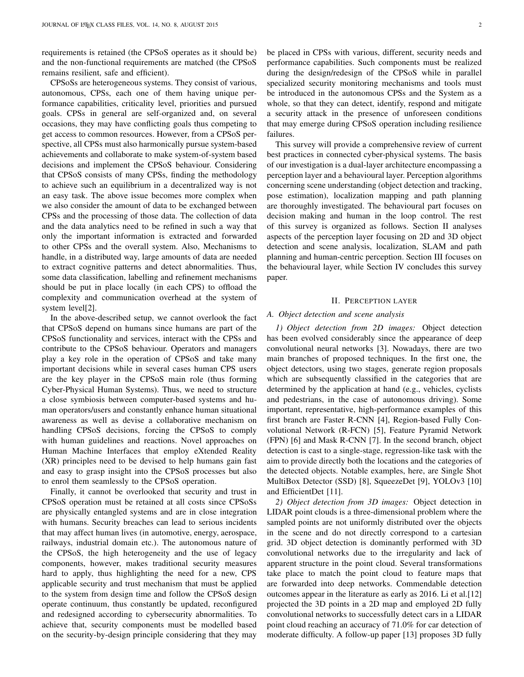requirements is retained (the CPSoS operates as it should be) and the non-functional requirements are matched (the CPSoS remains resilient, safe and efficient).

CPSoSs are heterogeneous systems. They consist of various, autonomous, CPSs, each one of them having unique performance capabilities, criticality level, priorities and pursued goals. CPSs in general are self-organized and, on several occasions, they may have conflicting goals thus competing to get access to common resources. However, from a CPSoS perspective, all CPSs must also harmonically pursue system-based achievements and collaborate to make system-of-system based decisions and implement the CPSoS behaviour. Considering that CPSoS consists of many CPSs, finding the methodology to achieve such an equilibrium in a decentralized way is not an easy task. The above issue becomes more complex when we also consider the amount of data to be exchanged between CPSs and the processing of those data. The collection of data and the data analytics need to be refined in such a way that only the important information is extracted and forwarded to other CPSs and the overall system. Also, Mechanisms to handle, in a distributed way, large amounts of data are needed to extract cognitive patterns and detect abnormalities. Thus, some data classification, labelling and refinement mechanisms should be put in place locally (in each CPS) to offload the complexity and communication overhead at the system of system level[\[2\]](#page-15-1).

In the above-described setup, we cannot overlook the fact that CPSoS depend on humans since humans are part of the CPSoS functionality and services, interact with the CPSs and contribute to the CPSoS behaviour. Operators and managers play a key role in the operation of CPSoS and take many important decisions while in several cases human CPS users are the key player in the CPSoS main role (thus forming Cyber-Physical Human Systems). Thus, we need to structure a close symbiosis between computer-based systems and human operators/users and constantly enhance human situational awareness as well as devise a collaborative mechanism on handling CPSoS decisions, forcing the CPSoS to comply with human guidelines and reactions. Novel approaches on Human Machine Interfaces that employ eXtended Reality (XR) principles need to be devised to help humans gain fast and easy to grasp insight into the CPSoS processes but also to enrol them seamlessly to the CPSoS operation.

Finally, it cannot be overlooked that security and trust in CPSoS operation must be retained at all costs since CPSoSs are physically entangled systems and are in close integration with humans. Security breaches can lead to serious incidents that may affect human lives (in automotive, energy, aerospace, railways, industrial domain etc.). The autonomous nature of the CPSoS, the high heterogeneity and the use of legacy components, however, makes traditional security measures hard to apply, thus highlighting the need for a new, CPS applicable security and trust mechanism that must be applied to the system from design time and follow the CPSoS design operate continuum, thus constantly be updated, reconfigured and redesigned according to cybersecurity abnormalities. To achieve that, security components must be modelled based on the security-by-design principle considering that they may

be placed in CPSs with various, different, security needs and performance capabilities. Such components must be realized during the design/redesign of the CPSoS while in parallel specialized security monitoring mechanisms and tools must be introduced in the autonomous CPSs and the System as a whole, so that they can detect, identify, respond and mitigate a security attack in the presence of unforeseen conditions that may emerge during CPSoS operation including resilience failures.

This survey will provide a comprehensive review of current best practices in connected cyber-physical systems. The basis of our investigation is a dual-layer architecture encompassing a perception layer and a behavioural layer. Perception algorithms concerning scene understanding (object detection and tracking, pose estimation), localization mapping and path planning are thoroughly investigated. The behavioural part focuses on decision making and human in the loop control. The rest of this survey is organized as follows. Section II analyses aspects of the perception layer focusing on 2D and 3D object detection and scene analysis, localization, SLAM and path planning and human-centric perception. Section III focuses on the behavioural layer, while Section IV concludes this survey paper.

## II. PERCEPTION LAYER

## *A. Object detection and scene analysis*

*1) Object detection from 2D images:* Object detection has been evolved considerably since the appearance of deep convolutional neural networks [\[3\]](#page-15-2). Nowadays, there are two main branches of proposed techniques. In the first one, the object detectors, using two stages, generate region proposals which are subsequently classified in the categories that are determined by the application at hand (e.g., vehicles, cyclists and pedestrians, in the case of autonomous driving). Some important, representative, high-performance examples of this first branch are Faster R-CNN [\[4\]](#page-15-3), Region-based Fully Convolutional Network (R-FCN) [\[5\]](#page-15-4), Feature Pyramid Network (FPN) [\[6\]](#page-15-5) and Mask R-CNN [\[7\]](#page-15-6). In the second branch, object detection is cast to a single-stage, regression-like task with the aim to provide directly both the locations and the categories of the detected objects. Notable examples, here, are Single Shot MultiBox Detector (SSD) [\[8\]](#page-15-7), SqueezeDet [\[9\]](#page-15-8), YOLOv3 [\[10\]](#page-15-9) and EfficientDet [\[11\]](#page-15-10).

*2) Object detection from 3D images:* Object detection in LIDAR point clouds is a three-dimensional problem where the sampled points are not uniformly distributed over the objects in the scene and do not directly correspond to a cartesian grid. 3D object detection is dominantly performed with 3D convolutional networks due to the irregularity and lack of apparent structure in the point cloud. Several transformations take place to match the point cloud to feature maps that are forwarded into deep networks. Commendable detection outcomes appear in the literature as early as 2016. Li et al.[\[12\]](#page-15-11) projected the 3D points in a 2D map and employed 2D fully convolutional networks to successfully detect cars in a LIDAR point cloud reaching an accuracy of 71.0% for car detection of moderate difficulty. A follow-up paper [\[13\]](#page-15-12) proposes 3D fully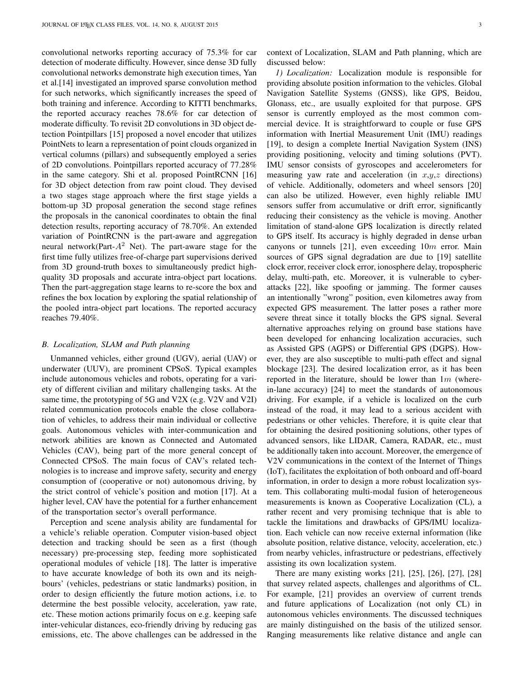convolutional networks reporting accuracy of 75.3% for car detection of moderate difficulty. However, since dense 3D fully convolutional networks demonstrate high execution times, Yan et al.[\[14\]](#page-15-13) investigated an improved sparse convolution method for such networks, which significantly increases the speed of both training and inference. According to KITTI benchmarks, the reported accuracy reaches 78.6% for car detection of moderate difficulty. To revisit 2D convolutions in 3D object detection Pointpillars [\[15\]](#page-15-14) proposed a novel encoder that utilizes PointNets to learn a representation of point clouds organized in vertical columns (pillars) and subsequently employed a series of 2D convolutions. Pointpillars reported accuracy of 77.28% in the same category. Shi et al. proposed PointRCNN [\[16\]](#page-15-15) for 3D object detection from raw point cloud. They devised a two stages stage approach where the first stage yields a bottom-up 3D proposal generation the second stage refines the proposals in the canonical coordinates to obtain the final detection results, reporting accuracy of 78.70%. An extended variation of PointRCNN is the part-aware and aggregation neural network(Part- $A^2$  Net). The part-aware stage for the first time fully utilizes free-of-charge part supervisions derived from 3D ground-truth boxes to simultaneously predict highquality 3D proposals and accurate intra-object part locations. Then the part-aggregation stage learns to re-score the box and refines the box location by exploring the spatial relationship of the pooled intra-object part locations. The reported accuracy reaches 79.40%.

#### *B. Localization, SLAM and Path planning*

Unmanned vehicles, either ground (UGV), aerial (UAV) or underwater (UUV), are prominent CPSoS. Typical examples include autonomous vehicles and robots, operating for a variety of different civilian and military challenging tasks. At the same time, the prototyping of 5G and V2X (e.g. V2V and V2I) related communication protocols enable the close collaboration of vehicles, to address their main individual or collective goals. Autonomous vehicles with inter-communication and network abilities are known as Connected and Automated Vehicles (CAV), being part of the more general concept of Connected CPSoS. The main focus of CAV's related technologies is to increase and improve safety, security and energy consumption of (cooperative or not) autonomous driving, by the strict control of vehicle's position and motion [\[17\]](#page-15-16). At a higher level, CAV have the potential for a further enhancement of the transportation sector's overall performance.

Perception and scene analysis ability are fundamental for a vehicle's reliable operation. Computer vision-based object detection and tracking should be seen as a first (though necessary) pre-processing step, feeding more sophisticated operational modules of vehicle [\[18\]](#page-15-17). The latter is imperative to have accurate knowledge of both its own and its neighbours' (vehicles, pedestrians or static landmarks) position, in order to design efficiently the future motion actions, i.e. to determine the best possible velocity, acceleration, yaw rate, etc. These motion actions primarily focus on e.g. keeping safe inter-vehicular distances, eco-friendly driving by reducing gas emissions, etc. The above challenges can be addressed in the

context of Localization, SLAM and Path planning, which are discussed below:

*1) Localization:* Localization module is responsible for providing absolute position information to the vehicles. Global Navigation Satellite Systems (GNSS), like GPS, Beidou, Glonass, etc., are usually exploited for that purpose. GPS sensor is currently employed as the most common commercial device. It is straightforward to couple or fuse GPS information with Inertial Measurement Unit (IMU) readings [\[19\]](#page-15-18), to design a complete Inertial Navigation System (INS) providing positioning, velocity and timing solutions (PVT). IMU sensor consists of gyroscopes and accelerometers for measuring yaw rate and acceleration (in  $x,y,z$  directions) of vehicle. Additionally, odometers and wheel sensors [\[20\]](#page-15-19) can also be utilized. However, even highly reliable IMU sensors suffer from accumulative or drift error, significantly reducing their consistency as the vehicle is moving. Another limitation of stand-alone GPS localization is directly related to GPS itself. Its accuracy is highly degraded in dense urban canyons or tunnels [\[21\]](#page-15-20), even exceeding  $10m$  error. Main sources of GPS signal degradation are due to [\[19\]](#page-15-18) satellite clock error, receiver clock error, ionosphere delay, tropospheric delay, multi-path, etc. Moreover, it is vulnerable to cyberattacks [\[22\]](#page-15-21), like spoofing or jamming. The former causes an intentionally "wrong" position, even kilometres away from expected GPS measurement. The latter poses a rather more severe threat since it totally blocks the GPS signal. Several alternative approaches relying on ground base stations have been developed for enhancing localization accuracies, such as Assisted GPS (AGPS) or Differential GPS (DGPS). However, they are also susceptible to multi-path effect and signal blockage [\[23\]](#page-15-22). The desired localization error, as it has been reported in the literature, should be lower than  $1m$  (wherein-lane accuracy) [\[24\]](#page-15-23) to meet the standards of autonomous driving. For example, if a vehicle is localized on the curb instead of the road, it may lead to a serious accident with pedestrians or other vehicles. Therefore, it is quite clear that for obtaining the desired positioning solutions, other types of advanced sensors, like LIDAR, Camera, RADAR, etc., must be additionally taken into account. Moreover, the emergence of V2V communications in the context of the Internet of Things (IoT), facilitates the exploitation of both onboard and off-board information, in order to design a more robust localization system. This collaborating multi-modal fusion of heterogeneous measurements is known as Cooperative Localization (CL), a rather recent and very promising technique that is able to tackle the limitations and drawbacks of GPS/IMU localization. Each vehicle can now receive external information (like absolute position, relative distance, velocity, acceleration, etc.) from nearby vehicles, infrastructure or pedestrians, effectively assisting its own localization system.

There are many existing works [\[21\]](#page-15-20), [\[25\]](#page-15-24), [\[26\]](#page-15-25), [\[27\]](#page-15-26), [\[28\]](#page-15-27) that survey related aspects, challenges and algorithms of CL. For example, [\[21\]](#page-15-20) provides an overview of current trends and future applications of Localization (not only CL) in autonomous vehicles environments. The discussed techniques are mainly distinguished on the basis of the utilized sensor. Ranging measurements like relative distance and angle can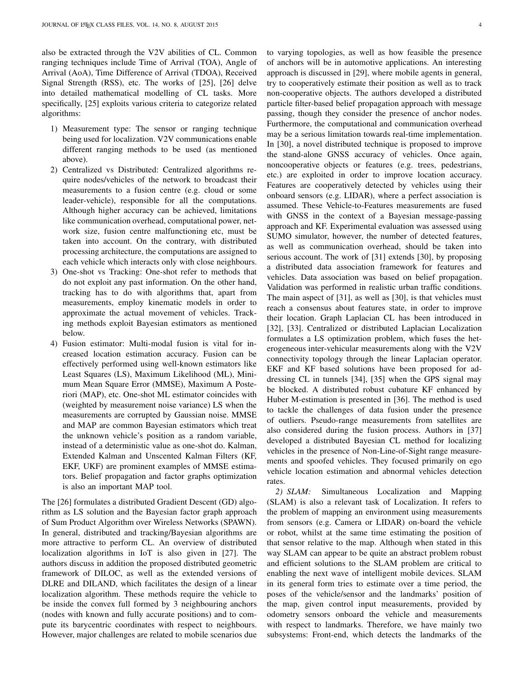also be extracted through the V2V abilities of CL. Common ranging techniques include Time of Arrival (TOA), Angle of Arrival (AoA), Time Difference of Arrival (TDOA), Received Signal Strength (RSS), etc. The works of [\[25\]](#page-15-24), [\[26\]](#page-15-25) delve into detailed mathematical modelling of CL tasks. More specifically, [\[25\]](#page-15-24) exploits various criteria to categorize related algorithms:

- 1) Measurement type: The sensor or ranging technique being used for localization. V2V communications enable different ranging methods to be used (as mentioned above).
- 2) Centralized vs Distributed: Centralized algorithms require nodes/vehicles of the network to broadcast their measurements to a fusion centre (e.g. cloud or some leader-vehicle), responsible for all the computations. Although higher accuracy can be achieved, limitations like communication overhead, computational power, network size, fusion centre malfunctioning etc, must be taken into account. On the contrary, with distributed processing architecture, the computations are assigned to each vehicle which interacts only with close neighbours.
- 3) One-shot vs Tracking: One-shot refer to methods that do not exploit any past information. On the other hand, tracking has to do with algorithms that, apart from measurements, employ kinematic models in order to approximate the actual movement of vehicles. Tracking methods exploit Bayesian estimators as mentioned below.
- 4) Fusion estimator: Multi-modal fusion is vital for increased location estimation accuracy. Fusion can be effectively performed using well-known estimators like Least Squares (LS), Maximum Likelihood (ML), Minimum Mean Square Error (MMSE), Maximum A Posteriori (MAP), etc. One-shot ML estimator coincides with (weighted by measurement noise variance) LS when the measurements are corrupted by Gaussian noise. MMSE and MAP are common Bayesian estimators which treat the unknown vehicle's position as a random variable, instead of a deterministic value as one-shot do. Kalman, Extended Kalman and Unscented Kalman Filters (KF, EKF, UKF) are prominent examples of MMSE estimators. Belief propagation and factor graphs optimization is also an important MAP tool.

The [\[26\]](#page-15-25) formulates a distributed Gradient Descent (GD) algorithm as LS solution and the Bayesian factor graph approach of Sum Product Algorithm over Wireless Networks (SPAWN). In general, distributed and tracking/Bayesian algorithms are more attractive to perform CL. An overview of distributed localization algorithms in IoT is also given in [\[27\]](#page-15-26). The authors discuss in addition the proposed distributed geometric framework of DILOC, as well as the extended versions of DLRE and DILAND, which facilitates the design of a linear localization algorithm. These methods require the vehicle to be inside the convex full formed by 3 neighbouring anchors (nodes with known and fully accurate positions) and to compute its barycentric coordinates with respect to neighbours. However, major challenges are related to mobile scenarios due

to varying topologies, as well as how feasible the presence of anchors will be in automotive applications. An interesting approach is discussed in [\[29\]](#page-15-28), where mobile agents in general, try to cooperatively estimate their position as well as to track non-cooperative objects. The authors developed a distributed particle filter-based belief propagation approach with message passing, though they consider the presence of anchor nodes. Furthermore, the computational and communication overhead may be a serious limitation towards real-time implementation. In [\[30\]](#page-15-29), a novel distributed technique is proposed to improve the stand-alone GNSS accuracy of vehicles. Once again, noncooperative objects or features (e.g. trees, pedestrians, etc.) are exploited in order to improve location accuracy. Features are cooperatively detected by vehicles using their onboard sensors (e.g. LIDAR), where a perfect association is assumed. These Vehicle-to-Features measurements are fused with GNSS in the context of a Bayesian message-passing approach and KF. Experimental evaluation was assessed using SUMO simulator, however, the number of detected features, as well as communication overhead, should be taken into serious account. The work of [\[31\]](#page-15-30) extends [\[30\]](#page-15-29), by proposing a distributed data association framework for features and vehicles. Data association was based on belief propagation. Validation was performed in realistic urban traffic conditions. The main aspect of [\[31\]](#page-15-30), as well as [\[30\]](#page-15-29), is that vehicles must reach a consensus about features state, in order to improve their location. Graph Laplacian CL has been introduced in [\[32\]](#page-15-31), [\[33\]](#page-16-0). Centralized or distributed Laplacian Localization formulates a LS optimization problem, which fuses the heterogeneous inter-vehicular measurements along with the V2V connectivity topology through the linear Laplacian operator. EKF and KF based solutions have been proposed for addressing CL in tunnels [\[34\]](#page-16-1), [\[35\]](#page-16-2) when the GPS signal may be blocked. A distributed robust cubature KF enhanced by Huber M-estimation is presented in [\[36\]](#page-16-3). The method is used to tackle the challenges of data fusion under the presence of outliers. Pseudo-range measurements from satellites are also considered during the fusion process. Authors in [\[37\]](#page-16-4) developed a distributed Bayesian CL method for localizing vehicles in the presence of Non-Line-of-Sight range measurements and spoofed vehicles. They focused primarily on ego vehicle location estimation and abnormal vehicles detection rates.

*2) SLAM:* Simultaneous Localization and Mapping (SLAM) is also a relevant task of Localization. It refers to the problem of mapping an environment using measurements from sensors (e.g. Camera or LIDAR) on-board the vehicle or robot, whilst at the same time estimating the position of that sensor relative to the map. Although when stated in this way SLAM can appear to be quite an abstract problem robust and efficient solutions to the SLAM problem are critical to enabling the next wave of intelligent mobile devices. SLAM in its general form tries to estimate over a time period, the poses of the vehicle/sensor and the landmarks' position of the map, given control input measurements, provided by odometry sensors onboard the vehicle and measurements with respect to landmarks. Therefore, we have mainly two subsystems: Front-end, which detects the landmarks of the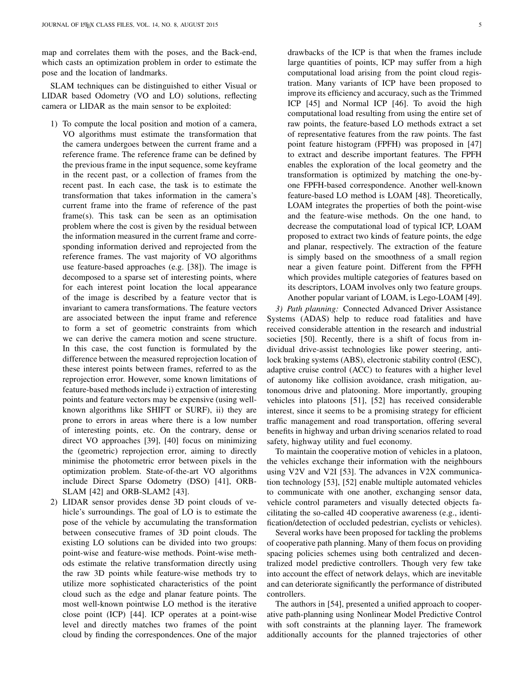map and correlates them with the poses, and the Back-end, which casts an optimization problem in order to estimate the pose and the location of landmarks.

SLAM techniques can be distinguished to either Visual or LIDAR based Odometry (VO and LO) solutions, reflecting camera or LIDAR as the main sensor to be exploited:

- 1) To compute the local position and motion of a camera, VO algorithms must estimate the transformation that the camera undergoes between the current frame and a reference frame. The reference frame can be defined by the previous frame in the input sequence, some keyframe in the recent past, or a collection of frames from the recent past. In each case, the task is to estimate the transformation that takes information in the camera's current frame into the frame of reference of the past frame(s). This task can be seen as an optimisation problem where the cost is given by the residual between the information measured in the current frame and corresponding information derived and reprojected from the reference frames. The vast majority of VO algorithms use feature-based approaches (e.g. [\[38\]](#page-16-5)). The image is decomposed to a sparse set of interesting points, where for each interest point location the local appearance of the image is described by a feature vector that is invariant to camera transformations. The feature vectors are associated between the input frame and reference to form a set of geometric constraints from which we can derive the camera motion and scene structure. In this case, the cost function is formulated by the difference between the measured reprojection location of these interest points between frames, referred to as the reprojection error. However, some known limitations of feature-based methods include i) extraction of interesting points and feature vectors may be expensive (using wellknown algorithms like SHIFT or SURF), ii) they are prone to errors in areas where there is a low number of interesting points, etc. On the contrary, dense or direct VO approaches [\[39\]](#page-16-6), [\[40\]](#page-16-7) focus on minimizing the (geometric) reprojection error, aiming to directly minimise the photometric error between pixels in the optimization problem. State-of-the-art VO algorithms include Direct Sparse Odometry (DSO) [\[41\]](#page-16-8), ORB-SLAM [\[42\]](#page-16-9) and ORB-SLAM2 [\[43\]](#page-16-10).
- 2) LIDAR sensor provides dense 3D point clouds of vehicle's surroundings. The goal of LO is to estimate the pose of the vehicle by accumulating the transformation between consecutive frames of 3D point clouds. The existing LO solutions can be divided into two groups: point-wise and feature-wise methods. Point-wise methods estimate the relative transformation directly using the raw 3D points while feature-wise methods try to utilize more sophisticated characteristics of the point cloud such as the edge and planar feature points. The most well-known pointwise LO method is the iterative close point (ICP) [\[44\]](#page-16-11). ICP operates at a point-wise level and directly matches two frames of the point cloud by finding the correspondences. One of the major

drawbacks of the ICP is that when the frames include large quantities of points, ICP may suffer from a high computational load arising from the point cloud registration. Many variants of ICP have been proposed to improve its efficiency and accuracy, such as the Trimmed ICP [\[45\]](#page-16-12) and Normal ICP [\[46\]](#page-16-13). To avoid the high computational load resulting from using the entire set of raw points, the feature-based LO methods extract a set of representative features from the raw points. The fast point feature histogram (FPFH) was proposed in [\[47\]](#page-16-14) to extract and describe important features. The FPFH enables the exploration of the local geometry and the transformation is optimized by matching the one-byone FPFH-based correspondence. Another well-known feature-based LO method is LOAM [\[48\]](#page-16-15). Theoretically, LOAM integrates the properties of both the point-wise and the feature-wise methods. On the one hand, to decrease the computational load of typical ICP, LOAM proposed to extract two kinds of feature points, the edge and planar, respectively. The extraction of the feature is simply based on the smoothness of a small region near a given feature point. Different from the FPFH which provides multiple categories of features based on its descriptors, LOAM involves only two feature groups. Another popular variant of LOAM, is Lego-LOAM [\[49\]](#page-16-16).

*3) Path planning:* Connected Advanced Driver Assistance Systems (ADAS) help to reduce road fatalities and have received considerable attention in the research and industrial societies [\[50\]](#page-16-17). Recently, there is a shift of focus from individual drive-assist technologies like power steering, antilock braking systems (ABS), electronic stability control (ESC), adaptive cruise control (ACC) to features with a higher level of autonomy like collision avoidance, crash mitigation, autonomous drive and platooning. More importantly, grouping vehicles into platoons [\[51\]](#page-16-18), [\[52\]](#page-16-19) has received considerable interest, since it seems to be a promising strategy for efficient traffic management and road transportation, offering several benefits in highway and urban driving scenarios related to road safety, highway utility and fuel economy.

To maintain the cooperative motion of vehicles in a platoon, the vehicles exchange their information with the neighbours using V2V and V2I [\[53\]](#page-16-20). The advances in V2X communication technology [\[53\]](#page-16-20), [\[52\]](#page-16-19) enable multiple automated vehicles to communicate with one another, exchanging sensor data, vehicle control parameters and visually detected objects facilitating the so-called 4D cooperative awareness (e.g., identification/detection of occluded pedestrian, cyclists or vehicles).

Several works have been proposed for tackling the problems of cooperative path planning. Many of them focus on providing spacing policies schemes using both centralized and decentralized model predictive controllers. Though very few take into account the effect of network delays, which are inevitable and can deteriorate significantly the performance of distributed controllers.

The authors in [\[54\]](#page-16-21), presented a unified approach to cooperative path-planning using Nonlinear Model Predictive Control with soft constraints at the planning layer. The framework additionally accounts for the planned trajectories of other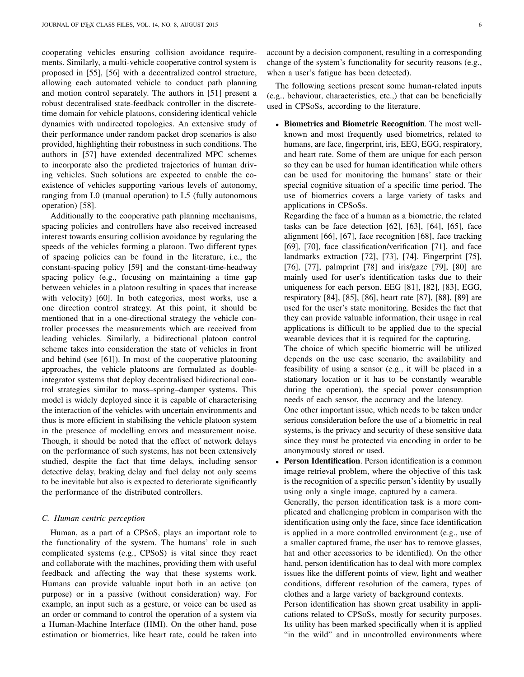cooperating vehicles ensuring collision avoidance requirements. Similarly, a multi-vehicle cooperative control system is proposed in [\[55\]](#page-16-22), [\[56\]](#page-16-23) with a decentralized control structure, allowing each automated vehicle to conduct path planning and motion control separately. The authors in [\[51\]](#page-16-18) present a robust decentralised state-feedback controller in the discretetime domain for vehicle platoons, considering identical vehicle dynamics with undirected topologies. An extensive study of their performance under random packet drop scenarios is also provided, highlighting their robustness in such conditions. The authors in [\[57\]](#page-16-24) have extended decentralized MPC schemes to incorporate also the predicted trajectories of human driving vehicles. Such solutions are expected to enable the coexistence of vehicles supporting various levels of autonomy, ranging from L0 (manual operation) to L5 (fully autonomous operation) [\[58\]](#page-16-25).

Additionally to the cooperative path planning mechanisms, spacing policies and controllers have also received increased interest towards ensuring collision avoidance by regulating the speeds of the vehicles forming a platoon. Two different types of spacing policies can be found in the literature, i.e., the constant-spacing policy [\[59\]](#page-16-26) and the constant-time-headway spacing policy (e.g., focusing on maintaining a time gap between vehicles in a platoon resulting in spaces that increase with velocity) [\[60\]](#page-16-27). In both categories, most works, use a one direction control strategy. At this point, it should be mentioned that in a one-directional strategy the vehicle controller processes the measurements which are received from leading vehicles. Similarly, a bidirectional platoon control scheme takes into consideration the state of vehicles in front and behind (see [\[61\]](#page-16-28)). In most of the cooperative platooning approaches, the vehicle platoons are formulated as doubleintegrator systems that deploy decentralised bidirectional control strategies similar to mass–spring–damper systems. This model is widely deployed since it is capable of characterising the interaction of the vehicles with uncertain environments and thus is more efficient in stabilising the vehicle platoon system in the presence of modelling errors and measurement noise. Though, it should be noted that the effect of network delays on the performance of such systems, has not been extensively studied, despite the fact that time delays, including sensor detective delay, braking delay and fuel delay not only seems to be inevitable but also is expected to deteriorate significantly the performance of the distributed controllers.

## *C. Human centric perception*

Human, as a part of a CPSoS, plays an important role to the functionality of the system. The humans' role in such complicated systems (e.g., CPSoS) is vital since they react and collaborate with the machines, providing them with useful feedback and affecting the way that these systems work. Humans can provide valuable input both in an active (on purpose) or in a passive (without consideration) way. For example, an input such as a gesture, or voice can be used as an order or command to control the operation of a system via a Human-Machine Interface (HMI). On the other hand, pose estimation or biometrics, like heart rate, could be taken into

account by a decision component, resulting in a corresponding change of the system's functionality for security reasons (e.g., when a user's fatigue has been detected).

The following sections present some human-related inputs (e.g., behaviour, characteristics, etc.,) that can be beneficially used in CPSoSs, according to the literature.

• Biometrics and Biometric Recognition. The most wellknown and most frequently used biometrics, related to humans, are face, fingerprint, iris, EEG, EGG, respiratory, and heart rate. Some of them are unique for each person so they can be used for human identification while others can be used for monitoring the humans' state or their special cognitive situation of a specific time period. The use of biometrics covers a large variety of tasks and applications in CPSoSs.

Regarding the face of a human as a biometric, the related tasks can be face detection  $[62]$ ,  $[63]$ ,  $[64]$ ,  $[65]$ , face alignment [\[66\]](#page-16-33), [\[67\]](#page-16-34), face recognition [\[68\]](#page-16-35), face tracking [\[69\]](#page-16-36), [\[70\]](#page-16-37), face classification/verification [71], and face landmarks extraction [\[72\]](#page-16-38), [\[73\]](#page-16-39), [\[74\]](#page-16-40). Fingerprint [\[75\]](#page-17-0), [\[76\]](#page-17-1), [\[77\]](#page-17-2), palmprint [\[78\]](#page-17-3) and iris/gaze [\[79\]](#page-17-4), [\[80\]](#page-17-5) are mainly used for user's identification tasks due to their uniqueness for each person. EEG [\[81\]](#page-17-6), [\[82\]](#page-17-7), [\[83\]](#page-17-8), EGG, respiratory [\[84\]](#page-17-9), [\[85\]](#page-17-10), [\[86\]](#page-17-11), heart rate [\[87\]](#page-17-12), [\[88\]](#page-17-13), [\[89\]](#page-17-14) are used for the user's state monitoring. Besides the fact that they can provide valuable information, their usage in real applications is difficult to be applied due to the special wearable devices that it is required for the capturing.

The choice of which specific biometric will be utilized depends on the use case scenario, the availability and feasibility of using a sensor (e.g., it will be placed in a stationary location or it has to be constantly wearable during the operation), the special power consumption needs of each sensor, the accuracy and the latency.

One other important issue, which needs to be taken under serious consideration before the use of a biometric in real systems, is the privacy and security of these sensitive data since they must be protected via encoding in order to be anonymously stored or used.

Person Identification. Person identification is a common image retrieval problem, where the objective of this task is the recognition of a specific person's identity by usually using only a single image, captured by a camera. Generally, the person identification task is a more com-

plicated and challenging problem in comparison with the identification using only the face, since face identification is applied in a more controlled environment (e.g., use of a smaller captured frame, the user has to remove glasses, hat and other accessories to be identified). On the other hand, person identification has to deal with more complex issues like the different points of view, light and weather conditions, different resolution of the camera, types of clothes and a large variety of background contexts.

Person identification has shown great usability in applications related to CPSoSs, mostly for security purposes. Its utility has been marked specifically when it is applied "in the wild" and in uncontrolled environments where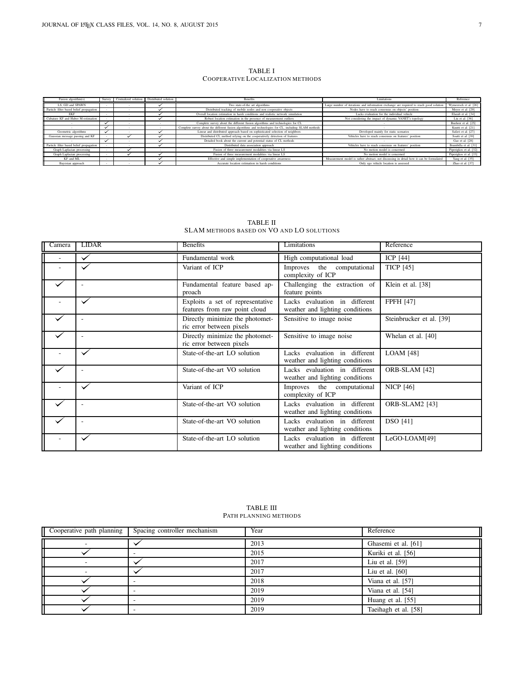TABLE I COOPERATIVE LOCALIZATION METHODS

| Fusion algorithm(s)                      | Survey | Centralized solution | Distributed solution | <b>Benefits</b>                                                                                       | Limitations                                                                             | Reference              |
|------------------------------------------|--------|----------------------|----------------------|-------------------------------------------------------------------------------------------------------|-----------------------------------------------------------------------------------------|------------------------|
| LS, GD and SPAWN                         |        |                      |                      | Two state-of-the art algorithms                                                                       | Large number of iterations and information exchange are required to reach good solution | Wymeersch et al. [26]  |
| Particle filter based belief propagation |        |                      |                      | Distributed tracking of mobile nodes and non cooperative objects                                      | Nodes have to reach consensus on objects' position                                      | Meyer et al. [29]      |
| <b>FKF</b>                               |        |                      |                      | Overall location estimation in harsh conditions and realistic network simulation                      | Lacks evaluation for the individual vehicle                                             | Elazab et al. [34]     |
| Cubature KF and Huber M-estimation       |        |                      |                      | Robust location estimation in the presence of measurement outliers                                    | Not considering the impact of dynamic VANET's topology                                  | Liu et al. [36]        |
|                                          |        |                      |                      | Complete survey about the different fusion algorithms and technologies for CL                         |                                                                                         | Buehrer et al. [25]    |
|                                          |        |                      |                      | Complete survey about the different fusion algorithms and technologies for CL, including SLAM methods |                                                                                         | Kuutti et al. [21]     |
| Geometric algorithms                     |        |                      |                      | Linear and distributed approach based on sophisticated selection of neighbors                         | Developed mainly for static scenarios                                                   | Safavi et al. [27]     |
| Gaussian message passing and KF          |        |                      |                      | Distributed CL method relying on the cooperatively detection of features                              | Vehicles have to reach consensus on features' position                                  | Soatti et al. [30]     |
|                                          |        |                      |                      | Detailed book about the current and potential status of CL methods                                    |                                                                                         | Gao et al. [28]        |
| Particle filter based belief propagation |        |                      |                      | Distributed data association approach                                                                 | Vehicles have to reach consensus on features' position                                  | Brambilla et al. [31]  |
| Graph Laplacian processing               |        |                      |                      | Fusion of three measurement modalities via linear LS                                                  | No motion model is concerned                                                            | Piperigkos et al. [32] |
| Graph Laplacian processing               |        |                      |                      | Fusion of three measurement modalities via linear LS                                                  | No motion model is concerned                                                            | Piperigkos et al. [33] |
| KF and ML                                |        |                      |                      | Effective and simple implementation of cooperative awareness                                          | Measurement model is rather abstract, not discussing in detail how it can be formulated | Yang et al. [35]       |
| Bayesian approach                        |        |                      |                      | Accurate location estimation in harsh conditions                                                      | Only ego vehicle location is assessed                                                   | Zhao et al. [37]       |

| Camera | <b>LIDAR</b> | <b>Benefits</b>                                                   | Limitations                                                      | Reference                |
|--------|--------------|-------------------------------------------------------------------|------------------------------------------------------------------|--------------------------|
|        |              | Fundamental work                                                  | High computational load                                          | ICP $[44]$               |
|        |              | Variant of ICP                                                    | Improves the computational<br>complexity of ICP                  | <b>TICP</b> [45]         |
|        |              | Fundamental feature based ap-<br>proach                           | Challenging the extraction of<br>feature points                  | Klein et al. [38]        |
|        |              | Exploits a set of representative<br>features from raw point cloud | Lacks evaluation in different<br>weather and lighting conditions | <b>FPFH [47]</b>         |
|        |              | Directly minimize the photomet-<br>ric error between pixels       | Sensitive to image noise                                         | Steinbrucker et al. [39] |
|        |              | Directly minimize the photomet-<br>ric error between pixels       | Sensitive to image noise                                         | Whelan et al. [40]       |
|        |              | State-of-the-art LO solution                                      | Lacks evaluation in different<br>weather and lighting conditions | <b>LOAM</b> [48]         |
|        |              | State-of-the-art VO solution                                      | Lacks evaluation in different<br>weather and lighting conditions | ORB-SLAM [42]            |
|        |              | Variant of ICP                                                    | Improves the computational<br>complexity of ICP                  | <b>NICP [46]</b>         |
|        |              | State-of-the-art VO solution                                      | Lacks evaluation in different<br>weather and lighting conditions | <b>ORB-SLAM2</b> [43]    |
|        |              | State-of-the-art VO solution                                      | Lacks evaluation in different<br>weather and lighting conditions | <b>DSO</b> [41]          |
|        |              | State-of-the-art LO solution                                      | Lacks evaluation in different<br>weather and lighting conditions | LeGO-LOAM[49]            |

TABLE II SLAM METHODS BASED ON VO AND LO SOLUTIONS

| TABLE III             |
|-----------------------|
| PATH PLANNING METHODS |

| Cooperative path planning | Spacing controller mechanism | Year | Reference            |
|---------------------------|------------------------------|------|----------------------|
|                           |                              | 2013 | Ghasemi et al. [61]  |
|                           |                              | 2015 | Kuriki et al. [56]   |
|                           |                              | 2017 | Liu et al. $[59]$    |
|                           |                              | 2017 | Liu et al. $[60]$    |
|                           |                              | 2018 | Viana et al. [57]    |
|                           |                              | 2019 | Viana et al. [54]    |
|                           |                              | 2019 | Huang et al. [55]    |
|                           |                              | 2019 | Taeihagh et al. [58] |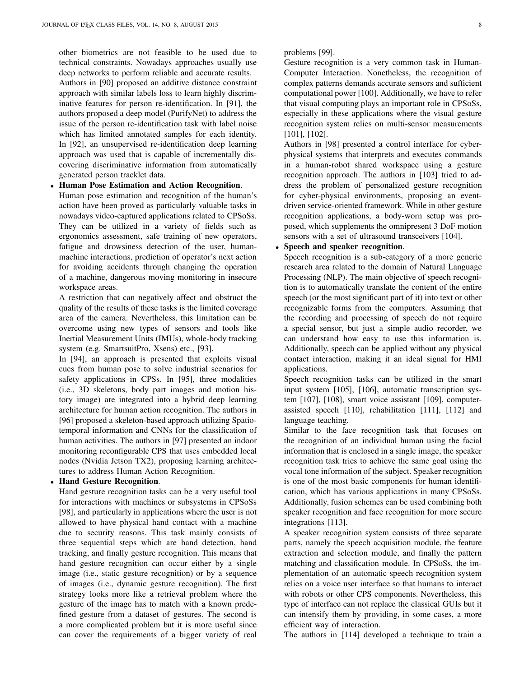other biometrics are not feasible to be used due to technical constraints. Nowadays approaches usually use deep networks to perform reliable and accurate results.

Authors in [\[90\]](#page-17-15) proposed an additive distance constraint approach with similar labels loss to learn highly discriminative features for person re-identification. In [\[91\]](#page-17-16), the authors proposed a deep model (PurifyNet) to address the issue of the person re-identification task with label noise which has limited annotated samples for each identity. In [\[92\]](#page-17-17), an unsupervised re-identification deep learning approach was used that is capable of incrementally discovering discriminative information from automatically generated person tracklet data.

• Human Pose Estimation and Action Recognition.

Human pose estimation and recognition of the human's action have been proved as particularly valuable tasks in nowadays video-captured applications related to CPSoSs. They can be utilized in a variety of fields such as ergonomics assessment, safe training of new operators, fatigue and drowsiness detection of the user, humanmachine interactions, prediction of operator's next action for avoiding accidents through changing the operation of a machine, dangerous moving monitoring in insecure workspace areas.

A restriction that can negatively affect and obstruct the quality of the results of these tasks is the limited coverage area of the camera. Nevertheless, this limitation can be overcome using new types of sensors and tools like Inertial Measurement Units (IMUs), whole-body tracking system (e.g. SmartsuitPro, Xsens) etc., [\[93\]](#page-17-18).

In [94], an approach is presented that exploits visual cues from human pose to solve industrial scenarios for safety applications in CPSs. In [\[95\]](#page-17-19), three modalities (i.e., 3D skeletons, body part images and motion history image) are integrated into a hybrid deep learning architecture for human action recognition. The authors in [\[96\]](#page-17-20) proposed a skeleton-based approach utilizing Spatiotemporal information and CNNs for the classification of human activities. The authors in [\[97\]](#page-17-21) presented an indoor monitoring reconfigurable CPS that uses embedded local nodes (Nvidia Jetson TX2), proposing learning architectures to address Human Action Recognition.

# • Hand Gesture Recognition.

Hand gesture recognition tasks can be a very useful tool for interactions with machines or subsystems in CPSoSs [\[98\]](#page-17-22), and particularly in applications where the user is not allowed to have physical hand contact with a machine due to security reasons. This task mainly consists of three sequential steps which are hand detection, hand tracking, and finally gesture recognition. This means that hand gesture recognition can occur either by a single image (i.e., static gesture recognition) or by a sequence of images (i.e., dynamic gesture recognition). The first strategy looks more like a retrieval problem where the gesture of the image has to match with a known predefined gesture from a dataset of gestures. The second is a more complicated problem but it is more useful since can cover the requirements of a bigger variety of real

problems [\[99\]](#page-17-23).

Gesture recognition is a very common task in Human-Computer Interaction. Nonetheless, the recognition of complex patterns demands accurate sensors and sufficient computational power [\[100\]](#page-17-24). Additionally, we have to refer that visual computing plays an important role in CPSoSs, especially in these applications where the visual gesture recognition system relies on multi-sensor measurements [\[101\]](#page-17-25), [\[102\]](#page-17-26).

Authors in [\[98\]](#page-17-22) presented a control interface for cyberphysical systems that interprets and executes commands in a human-robot shared workspace using a gesture recognition approach. The authors in [\[103\]](#page-17-27) tried to address the problem of personalized gesture recognition for cyber-physical environments, proposing an eventdriven service-oriented framework. While in other gesture recognition applications, a body-worn setup was proposed, which supplements the omnipresent 3 DoF motion sensors with a set of ultrasound transceivers [\[104\]](#page-17-28).

# • Speech and speaker recognition.

Speech recognition is a sub-category of a more generic research area related to the domain of Natural Language Processing (NLP). The main objective of speech recognition is to automatically translate the content of the entire speech (or the most significant part of it) into text or other recognizable forms from the computers. Assuming that the recording and processing of speech do not require a special sensor, but just a simple audio recorder, we can understand how easy to use this information is. Additionally, speech can be applied without any physical contact interaction, making it an ideal signal for HMI applications.

Speech recognition tasks can be utilized in the smart input system [\[105\]](#page-17-29), [\[106\]](#page-17-30), automatic transcription system [\[107\]](#page-17-31), [\[108\]](#page-17-32), smart voice assistant [\[109\]](#page-17-33), computerassisted speech [\[110\]](#page-17-34), rehabilitation [\[111\]](#page-17-35), [\[112\]](#page-17-36) and language teaching.

Similar to the face recognition task that focuses on the recognition of an individual human using the facial information that is enclosed in a single image, the speaker recognition task tries to achieve the same goal using the vocal tone information of the subject. Speaker recognition is one of the most basic components for human identification, which has various applications in many CPSoSs. Additionally, fusion schemes can be used combining both speaker recognition and face recognition for more secure integrations [\[113\]](#page-18-0).

A speaker recognition system consists of three separate parts, namely the speech acquisition module, the feature extraction and selection module, and finally the pattern matching and classification module. In CPSoSs, the implementation of an automatic speech recognition system relies on a voice user interface so that humans to interact with robots or other CPS components. Nevertheless, this type of interface can not replace the classical GUIs but it can intensify them by providing, in some cases, a more efficient way of interaction.

The authors in [\[114\]](#page-18-1) developed a technique to train a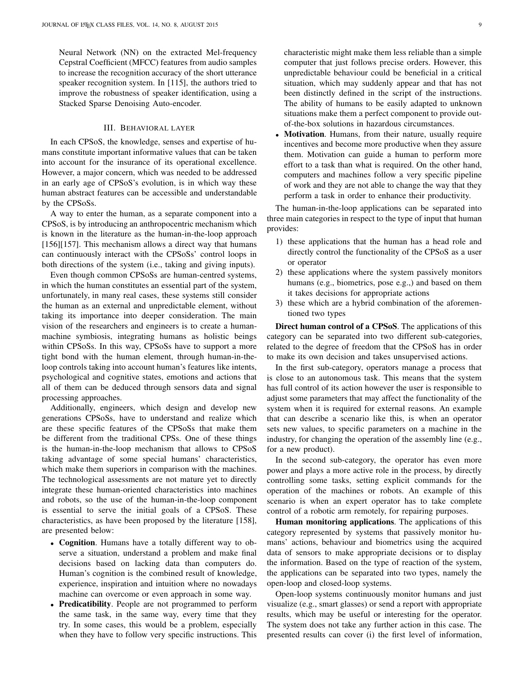Neural Network (NN) on the extracted Mel-frequency Cepstral Coefficient (MFCC) features from audio samples to increase the recognition accuracy of the short utterance speaker recognition system. In [\[115\]](#page-18-2), the authors tried to improve the robustness of speaker identification, using a Stacked Sparse Denoising Auto-encoder.

## III. BEHAVIORAL LAYER

In each CPSoS, the knowledge, senses and expertise of humans constitute important informative values that can be taken into account for the insurance of its operational excellence. However, a major concern, which was needed to be addressed in an early age of CPSoS's evolution, is in which way these human abstract features can be accessible and understandable by the CPSoSs.

A way to enter the human, as a separate component into a CPSoS, is by introducing an anthropocentric mechanism which is known in the literature as the human-in-the-loop approach [\[156\]](#page-19-0)[\[157\]](#page-19-1). This mechanism allows a direct way that humans can continuously interact with the CPSoSs' control loops in both directions of the system (i.e., taking and giving inputs).

Even though common CPSoSs are human-centred systems, in which the human constitutes an essential part of the system, unfortunately, in many real cases, these systems still consider the human as an external and unpredictable element, without taking its importance into deeper consideration. The main vision of the researchers and engineers is to create a humanmachine symbiosis, integrating humans as holistic beings within CPSoSs. In this way, CPSoSs have to support a more tight bond with the human element, through human-in-theloop controls taking into account human's features like intents, psychological and cognitive states, emotions and actions that all of them can be deduced through sensors data and signal processing approaches.

Additionally, engineers, which design and develop new generations CPSoSs, have to understand and realize which are these specific features of the CPSoSs that make them be different from the traditional CPSs. One of these things is the human-in-the-loop mechanism that allows to CPSoS taking advantage of some special humans' characteristics, which make them superiors in comparison with the machines. The technological assessments are not mature yet to directly integrate these human-oriented characteristics into machines and robots, so the use of the human-in-the-loop component is essential to serve the initial goals of a CPSoS. These characteristics, as have been proposed by the literature [\[158\]](#page-19-2), are presented below:

- Cognition. Humans have a totally different way to observe a situation, understand a problem and make final decisions based on lacking data than computers do. Human's cognition is the combined result of knowledge, experience, inspiration and intuition where no nowadays machine can overcome or even approach in some way.
- Predicatibility. People are not programmed to perform the same task, in the same way, every time that they try. In some cases, this would be a problem, especially when they have to follow very specific instructions. This

characteristic might make them less reliable than a simple computer that just follows precise orders. However, this unpredictable behaviour could be beneficial in a critical situation, which may suddenly appear and that has not been distinctly defined in the script of the instructions. The ability of humans to be easily adapted to unknown situations make them a perfect component to provide outof-the-box solutions in hazardous circumstances.

Motivation. Humans, from their nature, usually require incentives and become more productive when they assure them. Motivation can guide a human to perform more effort to a task than what is required. On the other hand, computers and machines follow a very specific pipeline of work and they are not able to change the way that they perform a task in order to enhance their productivity.

The human-in-the-loop applications can be separated into three main categories in respect to the type of input that human provides:

- 1) these applications that the human has a head role and directly control the functionality of the CPSoS as a user or operator
- 2) these applications where the system passively monitors humans (e.g., biometrics, pose e.g.,) and based on them it takes decisions for appropriate actions
- 3) these which are a hybrid combination of the aforementioned two types

Direct human control of a CPSoS. The applications of this category can be separated into two different sub-categories, related to the degree of freedom that the CPSoS has in order to make its own decision and takes unsupervised actions.

In the first sub-category, operators manage a process that is close to an autonomous task. This means that the system has full control of its action however the user is responsible to adjust some parameters that may affect the functionality of the system when it is required for external reasons. An example that can describe a scenario like this, is when an operator sets new values, to specific parameters on a machine in the industry, for changing the operation of the assembly line (e.g., for a new product).

In the second sub-category, the operator has even more power and plays a more active role in the process, by directly controlling some tasks, setting explicit commands for the operation of the machines or robots. An example of this scenario is when an expert operator has to take complete control of a robotic arm remotely, for repairing purposes.

Human monitoring applications. The applications of this category represented by systems that passively monitor humans' actions, behaviour and biometrics using the acquired data of sensors to make appropriate decisions or to display the information. Based on the type of reaction of the system, the applications can be separated into two types, namely the open-loop and closed-loop systems.

Open-loop systems continuously monitor humans and just visualize (e.g., smart glasses) or send a report with appropriate results, which may be useful or interesting for the operator. The system does not take any further action in this case. The presented results can cover (i) the first level of information,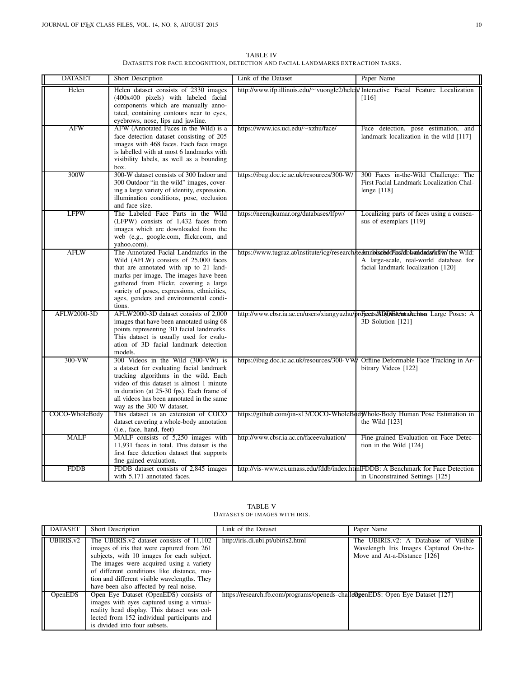TABLE IV DATASETS FOR FACE RECOGNITION, DETECTION AND FACIAL LANDMARKS EXTRACTION TASKS.

| <b>DATASET</b> | Short Description                                                                                                                                                                                                                                                                                             | Link of the Dataset                                                                         | Paper Name                                                                                      |
|----------------|---------------------------------------------------------------------------------------------------------------------------------------------------------------------------------------------------------------------------------------------------------------------------------------------------------------|---------------------------------------------------------------------------------------------|-------------------------------------------------------------------------------------------------|
| Helen          | Helen dataset consists of 2330 images<br>(400x400 pixels) with labeled facial<br>components which are manually anno-<br>tated, containing contours near to eyes,<br>eyebrows, nose, lips and jawline.                                                                                                         | http://www.ifp.illinois.edu/~ vuongle2/helen/Interactive Facial Feature Localization        | [116]                                                                                           |
| <b>AFW</b>     | AFW (Annotated Faces in the Wild) is a<br>face detection dataset consisting of 205<br>images with 468 faces. Each face image<br>is labelled with at most 6 landmarks with<br>visibility labels, as well as a bounding<br>box.                                                                                 | https://www.ics.uci.edu/~xzhu/face/                                                         | Face detection, pose estimation, and<br>landmark localization in the wild [117]                 |
| 300W           | 300-W dataset consists of 300 Indoor and<br>300 Outdoor "in the wild" images, cover-<br>ing a large variety of identity, expression,<br>illumination conditions, pose, occlusion<br>and face size.                                                                                                            | https://ibug.doc.ic.ac.uk/resources/300-W/                                                  | 300 Faces in-the-Wild Challenge: The<br>First Facial Landmark Localization Chal-<br>lenge [118] |
| <b>LFPW</b>    | The Labeled Face Parts in the Wild<br>(LFPW) consists of 1,432 faces from<br>images which are downloaded from the<br>web (e.g., google.com, flickr.com, and<br>yahoo.com).                                                                                                                                    | https://neerajkumar.org/databases/lfpw/                                                     | Localizing parts of faces using a consen-<br>sus of exemplars [119]                             |
| <b>AFLW</b>    | The Annotated Facial Landmarks in the<br>Wild (AFLW) consists of 25,000 faces<br>that are annotated with up to 21 land-<br>marks per image. The images have been<br>gathered from Flickr, covering a large<br>variety of poses, expressions, ethnicities,<br>ages, genders and environmental condi-<br>tions. | https://www.tugraz.at/institute/icg/research/technolisathdoff/as/dblvandads/kflw/ the Wild: | A large-scale, real-world database for<br>facial landmark localization [120]                    |
| AFLW2000-3D    | AFLW2000-3D dataset consists of 2,000<br>images that have been annotated using 68<br>points representing 3D facial landmarks.<br>This dataset is usually used for evalu-<br>ation of 3D facial landmark detection<br>models.                                                                                  | http://www.cbsr.ia.ac.cn/users/xiangyuzhu/projacts/ADDhFAdmtaAchtos Large Poses: A          | 3D Solution [121]                                                                               |
| $300-VW$       | 300 Videos in the Wild (300-VW) is<br>a dataset for evaluating facial landmark<br>tracking algorithms in the wild. Each<br>video of this dataset is almost 1 minute<br>in duration (at 25-30 fps). Each frame of<br>all videos has been annotated in the same<br>way as the 300 W dataset.                    | https://ibug.doc.ic.ac.uk/resources/300-VW/ Offline Deformable Face Tracking in Ar-         | bitrary Videos [122]                                                                            |
| COCO-WholeBody | This dataset is an extension of COCO<br>dataset cavering a whole-body annotation<br>(i.e., face, hand, feet)                                                                                                                                                                                                  | https://github.com/jin-s13/COCO-WholeBodWhole-Body Human Pose Estimation in                 | the Wild $[123]$                                                                                |
| <b>MALF</b>    | MALF consists of 5,250 images with<br>11,931 faces in total. This dataset is the<br>first face detection dataset that supports<br>fine-gained evaluation.                                                                                                                                                     | http://www.cbsr.ia.ac.cn/faceevaluation/                                                    | Fine-grained Evaluation on Face Detec-<br>tion in the Wild [124]                                |
| <b>FDDB</b>    | FDDB dataset consists of 2,845 images<br>with 5,171 annotated faces.                                                                                                                                                                                                                                          | http://vis-www.cs.umass.edu/fddb/index.htmlFDDB: A Benchmark for Face Detection             | in Unconstrained Settings [125]                                                                 |

TABLE V DATASETS OF IMAGES WITH IRIS.

| <b>DATASET</b> | <b>Short Description</b>                                                                                                                                                                                                                                                                                                 | Link of the Dataset                                                            | Paper Name                                                                                                                |
|----------------|--------------------------------------------------------------------------------------------------------------------------------------------------------------------------------------------------------------------------------------------------------------------------------------------------------------------------|--------------------------------------------------------------------------------|---------------------------------------------------------------------------------------------------------------------------|
| UBIRIS.v2      | The UBIRIS.v2 dataset consists of 11,102<br>images of iris that were captured from 261<br>subjects, with 10 images for each subject.<br>The images were acquired using a variety<br>of different conditions like distance, mo-<br>tion and different visible wavelengths. They<br>have been also affected by real noise. | http://iris.di.ubi.pt/ubiris2.html                                             | The UBIRIS.v2: A Database of<br><b>Visible</b><br>Wavelength Iris Images Captured On-the-<br>Move and At-a-Distance [126] |
| <b>OpenEDS</b> | Open Eye Dataset (OpenEDS) consists of<br>images with eyes captured using a virtual-<br>reality head display. This dataset was col-<br>lected from 152 individual participants and<br>is divided into four subsets.                                                                                                      | https://research.fb.com/programs/openeds-challe@genEDS: Open Eye Dataset [127] |                                                                                                                           |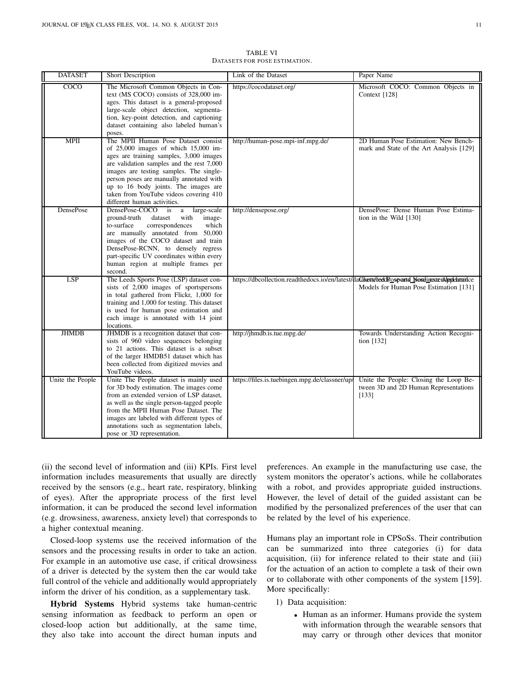| <b>DATASET</b>   | Short Description                                                                                                                                                                                                                                                                                                                                                               | Link of the Dataset                                                                        | Paper Name                                                                               |
|------------------|---------------------------------------------------------------------------------------------------------------------------------------------------------------------------------------------------------------------------------------------------------------------------------------------------------------------------------------------------------------------------------|--------------------------------------------------------------------------------------------|------------------------------------------------------------------------------------------|
| COCO             | The Microsoft Common Objects in Con-<br>text (MS COCO) consists of 328,000 im-<br>ages. This dataset is a general-proposed<br>large-scale object detection, segmenta-<br>tion, key-point detection, and captioning<br>dataset containing also labeled human's<br>poses.                                                                                                         | https://cocodataset.org/                                                                   | Microsoft COCO: Common Objects in<br>Context [128]                                       |
| <b>MPII</b>      | The MPII Human Pose Dataset consist<br>of $25,000$ images of which $15,000$ im-<br>ages are training samples, 3,000 images<br>are validation samples and the rest 7,000<br>images are testing samples. The single-<br>person poses are manually annotated with<br>up to 16 body joints. The images are<br>taken from YouTube videos covering 410<br>different human activities. | http://human-pose.mpi-inf.mpg.de/                                                          | 2D Human Pose Estimation: New Bench-<br>mark and State of the Art Analysis [129]         |
| DensePose        | DensePose-COCO<br>large-scale<br>is<br>a<br>ground-truth<br>with<br>image-<br>dataset<br>to-surface<br>correspondences<br>which<br>are manually annotated from 50,000<br>images of the COCO dataset and train<br>DensePose-RCNN, to densely regress<br>part-specific UV coordinates within every<br>human region at multiple frames per<br>second.                              | http://densepose.org/                                                                      | DensePose: Dense Human Pose Estima-<br>tion in the Wild [130]                            |
| LSP              | The Leeds Sports Pose (LSP) dataset con-<br>sists of 2,000 images of sportspersons<br>in total gathered from Flickr, 1,000 for<br>training and 1,000 for testing. This dataset<br>is used for human pose estimation and<br>each image is annotated with 14 joint<br>locations.                                                                                                  | https://dbcollection.readthedocs.io/en/latest/daGkets/reedRosports NostinextenAppleartnice | Models for Human Pose Estimation [131]                                                   |
| <b>JHMDB</b>     | JHMDB is a recognition dataset that con-<br>sists of 960 video sequences belonging<br>to 21 actions. This dataset is a subset<br>of the larger HMDB51 dataset which has<br>been collected from digitized movies and<br>YouTube videos.                                                                                                                                          | http://jhmdb.is.tue.mpg.de/                                                                | Towards Understanding Action Recogni-<br>tion $[132]$                                    |
| Unite the People | Unite The People dataset is mainly used<br>for 3D body estimation. The images come<br>from an extended version of LSP dataset,<br>as well as the single person-tagged people<br>from the MPII Human Pose Dataset. The<br>images are labeled with different types of<br>annotations such as segmentation labels,<br>pose or 3D representation.                                   | https://files.is.tuebingen.mpg.de/classner/up/                                             | Unite the People: Closing the Loop Be-<br>tween 3D and 2D Human Representations<br>[133] |

TABLE VI DATASETS FOR POSE ESTIMATION.

(ii) the second level of information and (iii) KPIs. First level information includes measurements that usually are directly received by the sensors (e.g., heart rate, respiratory, blinking of eyes). After the appropriate process of the first level information, it can be produced the second level information (e.g. drowsiness, awareness, anxiety level) that corresponds to a higher contextual meaning.

Closed-loop systems use the received information of the sensors and the processing results in order to take an action. For example in an automotive use case, if critical drowsiness of a driver is detected by the system then the car would take full control of the vehicle and additionally would appropriately inform the driver of his condition, as a supplementary task.

Hybrid Systems Hybrid systems take human-centric sensing information as feedback to perform an open or closed-loop action but additionally, at the same time, they also take into account the direct human inputs and

preferences. An example in the manufacturing use case, the system monitors the operator's actions, while he collaborates with a robot, and provides appropriate guided instructions. However, the level of detail of the guided assistant can be modified by the personalized preferences of the user that can be related by the level of his experience.

Humans play an important role in CPSoSs. Their contribution can be summarized into three categories (i) for data acquisition, (ii) for inference related to their state and (iii) for the actuation of an action to complete a task of their own or to collaborate with other components of the system [\[159\]](#page-19-3). More specifically:

- 1) Data acquisition:
	- Human as an informer. Humans provide the system with information through the wearable sensors that may carry or through other devices that monitor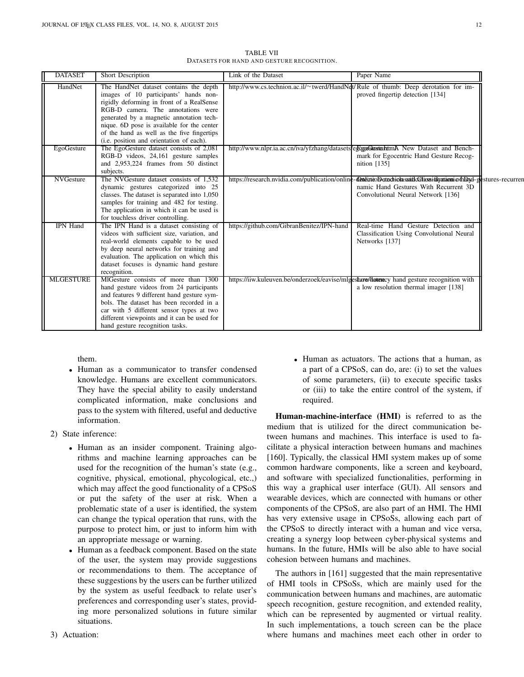| <b>DATASET</b>   | Short Description                                                                                                                                                                                                                                                                                                                                      | Link of the Dataset                                                                       | Paper Name                                                                                                                                                                                    |
|------------------|--------------------------------------------------------------------------------------------------------------------------------------------------------------------------------------------------------------------------------------------------------------------------------------------------------------------------------------------------------|-------------------------------------------------------------------------------------------|-----------------------------------------------------------------------------------------------------------------------------------------------------------------------------------------------|
| HandNet          | The HandNet dataset contains the depth<br>images of 10 participants' hands non-<br>rigidly deforming in front of a RealSense<br>RGB-D camera. The annotations were<br>generated by a magnetic annotation tech-<br>nique. 6D pose is available for the center<br>of the hand as well as the five fingertips<br>(i.e. position and orientation of each). | http://www.cs.technion.ac.il/~twerd/HandNet/Rule of thumb: Deep derotation for im-        | proved fingertip detection [134]                                                                                                                                                              |
| EgoGesture       | The EgoGesture dataset consists of 2,081<br>RGB-D videos, 24,161 gesture samples<br>and 2,953,224 frames from 50 distinct<br>subjects.                                                                                                                                                                                                                 | http://www.nlpr.ia.ac.cn/iva/yfzhang/datasets/esterbandternA New Dataset and Bench-       | mark for Egocentric Hand Gesture Recog-<br>nition $[135]$                                                                                                                                     |
| <b>NVGesture</b> | The NVGesture dataset consists of 1,532<br>dynamic gestures categorized into 25<br>classes. The dataset is separated into 1,050<br>samples for training and 482 for testing.<br>The application in which it can be used is<br>for touchless driver controlling.                                                                                        |                                                                                           | https://research.nvidia.com/publication/online-@entinteDetachiolassifloationidgataomicofhDyd-gestures-recurren<br>namic Hand Gestures With Recurrent 3D<br>Convolutional Neural Network [136] |
| <b>IPN</b> Hand  | The IPN Hand is a dataset consisting of<br>videos with sufficient size, variation, and<br>real-world elements capable to be used<br>by deep neural networks for training and<br>evaluation. The application on which this<br>dataset focuses is dynamic hand gesture<br>recognition.                                                                   | https://github.com/GibranBenitez/IPN-hand                                                 | Real-time Hand Gesture Detection and<br>Classification Using Convolutional Neural<br>Networks [137]                                                                                           |
| <b>MLGESTURE</b> | MIGesture consists of more than 1300<br>hand gesture videos from 24 participants<br>and features 9 different hand gesture sym-<br>bols. The dataset has been recorded in a<br>car with 5 different sensor types at two<br>different viewpoints and it can be used for<br>hand gesture recognition tasks.                                               | https://iiw.kuleuven.be/onderzoek/eavise/mlgesture/Hatericy hand gesture recognition with | a low resolution thermal imager [138]                                                                                                                                                         |

TABLE VII DATASETS FOR HAND AND GESTURE RECOGNITION.

them.

- Human as a communicator to transfer condensed knowledge. Humans are excellent communicators. They have the special ability to easily understand complicated information, make conclusions and pass to the system with filtered, useful and deductive information.
- 2) State inference:
	- Human as an insider component. Training algorithms and machine learning approaches can be used for the recognition of the human's state (e.g., cognitive, physical, emotional, phycological, etc.,) which may affect the good functionality of a CPSoS or put the safety of the user at risk. When a problematic state of a user is identified, the system can change the typical operation that runs, with the purpose to protect him, or just to inform him with an appropriate message or warning.
	- Human as a feedback component. Based on the state of the user, the system may provide suggestions or recommendations to them. The acceptance of these suggestions by the users can be further utilized by the system as useful feedback to relate user's preferences and corresponding user's states, providing more personalized solutions in future similar situations.

or (iii) to take the entire control of the system, if required. Human-machine-interface (HMI) is referred to as the medium that is utilized for the direct communication be-

• Human as actuators. The actions that a human, as a part of a CPSoS, can do, are: (i) to set the values of some parameters, (ii) to execute specific tasks

tween humans and machines. This interface is used to facilitate a physical interaction between humans and machines [\[160\]](#page-19-4). Typically, the classical HMI system makes up of some common hardware components, like a screen and keyboard, and software with specialized functionalities, performing in this way a graphical user interface (GUI). All sensors and wearable devices, which are connected with humans or other components of the CPSoS, are also part of an HMI. The HMI has very extensive usage in CPSoSs, allowing each part of the CPSoS to directly interact with a human and vice versa, creating a synergy loop between cyber-physical systems and humans. In the future, HMIs will be also able to have social cohesion between humans and machines.

The authors in [\[161\]](#page-19-5) suggested that the main representative of HMI tools in CPSoSs, which are mainly used for the communication between humans and machines, are automatic speech recognition, gesture recognition, and extended reality, which can be represented by augmented or virtual reality. In such implementations, a touch screen can be the place where humans and machines meet each other in order to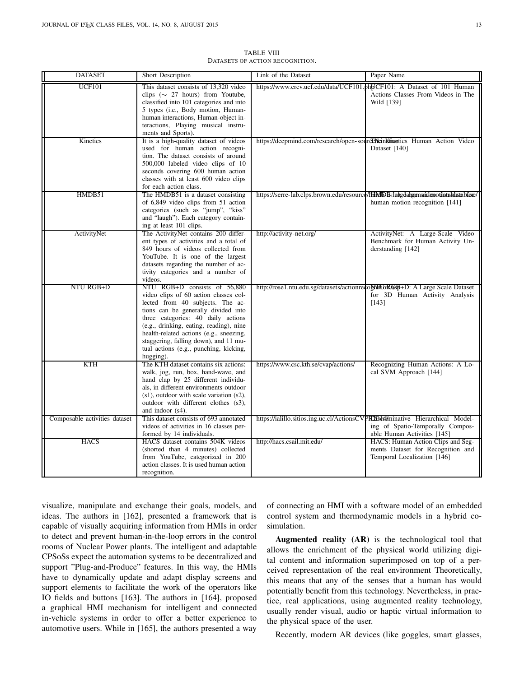| <b>DATASET</b>                | Short Description                                                                                                                                                                                                                                                                                                                                                            | Link of the Dataset                                                            | Paper Name                                                                                                                         |
|-------------------------------|------------------------------------------------------------------------------------------------------------------------------------------------------------------------------------------------------------------------------------------------------------------------------------------------------------------------------------------------------------------------------|--------------------------------------------------------------------------------|------------------------------------------------------------------------------------------------------------------------------------|
| <b>UCF101</b>                 | This dataset consists of 13,320 video<br>clips ( $\sim$ 27 hours) from Youtube,<br>classified into 101 categories and into<br>5 types (i.e., Body motion, Human-<br>human interactions, Human-object in-<br>teractions, Playing musical instru-<br>ments and Sports).                                                                                                        |                                                                                | https://www.crcv.ucf.edu/data/UCF101.phbJCF101: A Dataset of 101 Human<br>Actions Classes From Videos in The<br>Wild [139]         |
| Kinetics                      | It is a high-quality dataset of videos<br>used for human action recogni-<br>tion. The dataset consists of around<br>500,000 labeled video clips of 10<br>seconds covering 600 human action<br>classes with at least 600 video clips<br>for each action class.                                                                                                                | https://deepmind.com/research/open-sourcel/leinKiinostics Human Action Video   | Dataset [140]                                                                                                                      |
| HMDB51                        | The HMDB51 is a dataset consisting<br>of 6,849 video clips from 51 action<br>categories (such as "jump", "kiss"<br>and "laugh"). Each category contain-<br>ing at least 101 clips.                                                                                                                                                                                           |                                                                                | https://serre-lab.clps.brown.edu/resource/HHMDB-laAgdahgenaridenotiatabatabase/<br>human motion recognition [141]                  |
| ActivityNet                   | The ActivityNet contains 200 differ-<br>ent types of activities and a total of<br>849 hours of videos collected from<br>YouTube. It is one of the largest<br>datasets regarding the number of ac-<br>tivity categories and a number of<br>videos.                                                                                                                            | http://activity-net.org/                                                       | ActivityNet: A Large-Scale Video<br>Benchmark for Human Activity Un-<br>derstanding [142]                                          |
| NTU RGB+D                     | NTU RGB+D consists of 56,880<br>video clips of 60 action classes col-<br>lected from 40 subjects. The ac-<br>tions can be generally divided into<br>three categories: 40 daily actions<br>(e.g., drinking, eating, reading), nine<br>health-related actions (e.g., sneezing,<br>staggering, falling down), and 11 mu-<br>tual actions (e.g., punching, kicking,<br>hugging). |                                                                                | http://rose1.ntu.edu.sg/datasets/actionreco <b>NiftbRGb</b> +D: A Large Scale Dataset<br>for 3D Human Activity Analysis<br>$[143]$ |
| <b>KTH</b>                    | The KTH dataset contains six actions:<br>walk, jog, run, box, hand-wave, and<br>hand clap by 25 different individu-<br>als, in different environments outdoor<br>$(s1)$ , outdoor with scale variation $(s2)$ ,<br>outdoor with different clothes (s3),<br>and indoor (s4).                                                                                                  | https://www.csc.kth.se/cvap/actions/                                           | Recognizing Human Actions: A Lo-<br>cal SVM Approach [144]                                                                         |
| Composable activities dataset | This dataset consists of 693 annotated<br>videos of activities in 16 classes per-<br>formed by 14 individuals.                                                                                                                                                                                                                                                               | https://ialillo.sitios.ing.uc.cl/ActionsCVPR203d4iminative Hierarchical Model- | ing of Spatio-Temporally Compos-<br>able Human Activities [145]                                                                    |
| <b>HACS</b>                   | HACS dataset contains 504K videos<br>(shorted than 4 minutes) collected<br>from YouTube, categorized in 200<br>action classes. It is used human action<br>recognition.                                                                                                                                                                                                       | http://hacs.csail.mit.edu/                                                     | HACS: Human Action Clips and Seg-<br>ments Dataset for Recognition and<br>Temporal Localization [146]                              |

TABLE VIII DATASETS OF ACTION RECOGNITION.

visualize, manipulate and exchange their goals, models, and ideas. The authors in [\[162\]](#page-19-6), presented a framework that is capable of visually acquiring information from HMIs in order to detect and prevent human-in-the-loop errors in the control rooms of Nuclear Power plants. The intelligent and adaptable CPSoSs expect the automation systems to be decentralized and support "Plug-and-Produce" features. In this way, the HMIs have to dynamically update and adapt display screens and support elements to facilitate the work of the operators like IO fields and buttons [\[163\]](#page-19-7). The authors in [\[164\]](#page-19-8), proposed a graphical HMI mechanism for intelligent and connected in-vehicle systems in order to offer a better experience to automotive users. While in [165], the authors presented a way

of connecting an HMI with a software model of an embedded control system and thermodynamic models in a hybrid cosimulation.

Augmented reality (AR) is the technological tool that allows the enrichment of the physical world utilizing digital content and information superimposed on top of a perceived representation of the real environment Theoretically, this means that any of the senses that a human has would potentially benefit from this technology. Nevertheless, in practice, real applications, using augmented reality technology, usually render visual, audio or haptic virtual information to the physical space of the user.

Recently, modern AR devices (like goggles, smart glasses,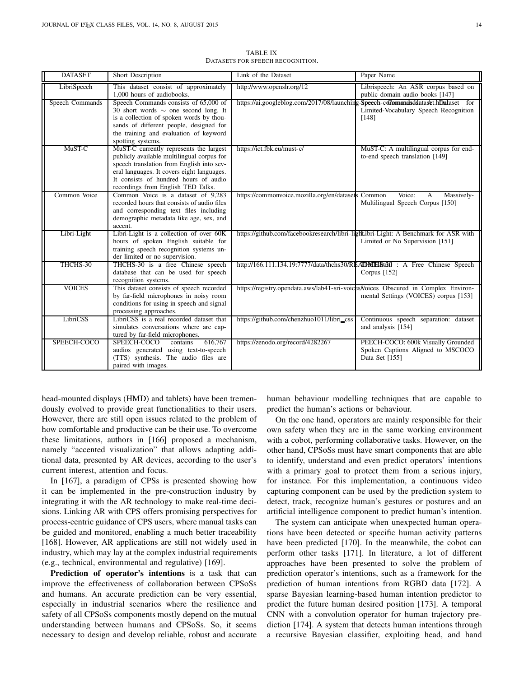| <b>DATASET</b>  | Short Description                                                                                                                                                                                                                                               | Link of the Dataset                                                                | Paper Name                                                                                                                          |
|-----------------|-----------------------------------------------------------------------------------------------------------------------------------------------------------------------------------------------------------------------------------------------------------------|------------------------------------------------------------------------------------|-------------------------------------------------------------------------------------------------------------------------------------|
| LibriSpeech     | This dataset consist of approximately<br>1,000 hours of audiobooks.                                                                                                                                                                                             | http://www.openslr.org/12                                                          | Librispeech: An ASR corpus based on<br>public domain audio books [147]                                                              |
| Speech Commands | Speech Commands consists of 65,000 of<br>30 short words $\sim$ one second long. It<br>is a collection of spoken words by thou-<br>sands of different people, designed for<br>the training and evaluation of keyword<br>spotting systems.                        |                                                                                    | https://ai.googleblog.com/2017/08/launching-Speech-commandsddataset.htmataset for<br>Limited-Vocabulary Speech Recognition<br>[148] |
| MuST-C          | MuST-C currently represents the largest<br>publicly available multilingual corpus for<br>speech translation from English into sev-<br>eral languages. It covers eight languages.<br>It consists of hundred hours of audio<br>recordings from English TED Talks. | https://ict.fbk.eu/must-c/                                                         | MuST-C: A multilingual corpus for end-<br>to-end speech translation [149]                                                           |
| Common Voice    | Common Voice is a dataset of 9.283<br>recorded hours that consists of audio files<br>and corresponding text files including<br>demographic metadata like age, sex, and<br>accent.                                                                               | https://commonvoice.mozilla.org/en/datasets Common                                 | Voice:<br>Massively-<br>A<br>Multilingual Speech Corpus [150]                                                                       |
| Libri-Light     | Libri-Light is a collection of over 60K<br>hours of spoken English suitable for<br>training speech recognition systems un-<br>der limited or no supervision.                                                                                                    |                                                                                    | https://github.com/facebookresearch/libri-lightLibri-Light: A Benchmark for ASR with<br>Limited or No Supervision [151]             |
| THCHS-30        | THCHS-30 is a free Chinese speech<br>database that can be used for speech<br>recognition systems.                                                                                                                                                               |                                                                                    | http://166.111.134.19:7777/data/thchs30/READMCH8t60 : A Free Chinese Speech<br>Corpus $[152]$                                       |
| <b>VOICES</b>   | This dataset consists of speech recorded<br>by far-field microphones in noisy room<br>conditions for using in speech and signal<br>processing approaches.                                                                                                       | https://registry.opendata.aws/lab41-sri-voices/Voices Obscured in Complex Environ- | mental Settings (VOICES) corpus [153]                                                                                               |
| LibriCSS        | LibriCSS is a real recorded dataset that<br>simulates conversations where are cap-<br>tured by far-field microphones.                                                                                                                                           | https://github.com/chenzhuo1011/libri_css                                          | Continuous speech separation: dataset<br>and analysis [154]                                                                         |
| SPEECH-COCO     | 616,767<br>SPEECH-COCO<br>contains<br>audios generated using text-to-speech<br>(TTS) synthesis. The audio files are<br>paired with images.                                                                                                                      | https://zenodo.org/record/4282267                                                  | PEECH-COCO: 600k Visually Grounded<br>Spoken Captions Aligned to MSCOCO<br>Data Set [155]                                           |

TABLE IX DATASETS FOR SPEECH RECOGNITION.

head-mounted displays (HMD) and tablets) have been tremendously evolved to provide great functionalities to their users. However, there are still open issues related to the problem of how comfortable and productive can be their use. To overcome these limitations, authors in [\[166\]](#page-19-11) proposed a mechanism, namely "accented visualization" that allows adapting additional data, presented by AR devices, according to the user's current interest, attention and focus.

In [\[167\]](#page-19-12), a paradigm of CPSs is presented showing how it can be implemented in the pre-construction industry by integrating it with the AR technology to make real-time decisions. Linking AR with CPS offers promising perspectives for process-centric guidance of CPS users, where manual tasks can be guided and monitored, enabling a much better traceability [\[168\]](#page-19-13). However, AR applications are still not widely used in industry, which may lay at the complex industrial requirements (e.g., technical, environmental and regulative) [\[169\]](#page-19-14).

Prediction of operator's intentions is a task that can improve the effectiveness of collaboration between CPSoSs and humans. An accurate prediction can be very essential, especially in industrial scenarios where the resilience and safety of all CPSoSs components mostly depend on the mutual understanding between humans and CPSoSs. So, it seems necessary to design and develop reliable, robust and accurate human behaviour modelling techniques that are capable to predict the human's actions or behaviour.

On the one hand, operators are mainly responsible for their own safety when they are in the same working environment with a cobot, performing collaborative tasks. However, on the other hand, CPSoSs must have smart components that are able to identify, understand and even predict operators' intentions with a primary goal to protect them from a serious injury, for instance. For this implementation, a continuous video capturing component can be used by the prediction system to detect, track, recognize human's gestures or postures and an artificial intelligence component to predict human's intention.

The system can anticipate when unexpected human operations have been detected or specific human activity patterns have been predicted [\[170\]](#page-19-15). In the meanwhile, the cobot can perform other tasks [\[171\]](#page-19-16). In literature, a lot of different approaches have been presented to solve the problem of prediction operator's intentions, such as a framework for the prediction of human intentions from RGBD data [\[172\]](#page-19-17). A sparse Bayesian learning-based human intention predictor to predict the future human desired position [\[173\]](#page-19-18). A temporal CNN with a convolution operator for human trajectory prediction [\[174\]](#page-19-19). A system that detects human intentions through a recursive Bayesian classifier, exploiting head, and hand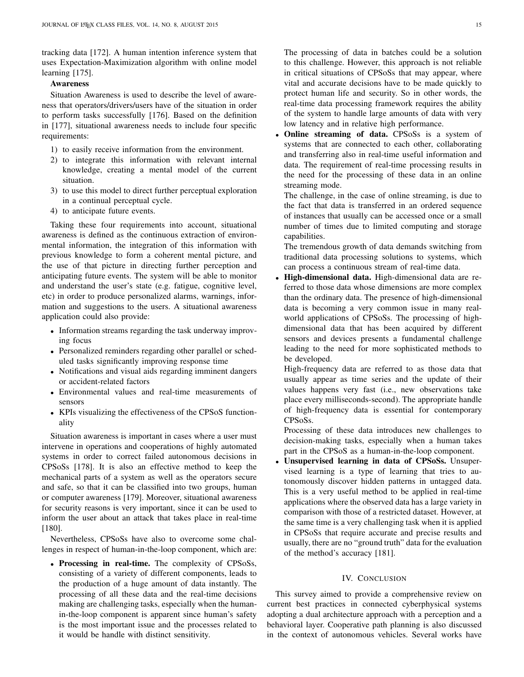tracking data [\[172\]](#page-19-17). A human intention inference system that uses Expectation-Maximization algorithm with online model learning [\[175\]](#page-19-20).

## Awareness

Situation Awareness is used to describe the level of awareness that operators/drivers/users have of the situation in order to perform tasks successfully [176]. Based on the definition in [\[177\]](#page-19-21), situational awareness needs to include four specific requirements:

- 1) to easily receive information from the environment.
- 2) to integrate this information with relevant internal knowledge, creating a mental model of the current situation.
- 3) to use this model to direct further perceptual exploration in a continual perceptual cycle.
- 4) to anticipate future events.

Taking these four requirements into account, situational awareness is defined as the continuous extraction of environmental information, the integration of this information with previous knowledge to form a coherent mental picture, and the use of that picture in directing further perception and anticipating future events. The system will be able to monitor and understand the user's state (e.g. fatigue, cognitive level, etc) in order to produce personalized alarms, warnings, information and suggestions to the users. A situational awareness application could also provide:

- Information streams regarding the task underway improving focus
- Personalized reminders regarding other parallel or scheduled tasks significantly improving response time
- Notifications and visual aids regarding imminent dangers or accident-related factors
- Environmental values and real-time measurements of sensors
- KPIs visualizing the effectiveness of the CPSoS functionality

Situation awareness is important in cases where a user must intervene in operations and cooperations of highly automated systems in order to correct failed autonomous decisions in CPSoSs [\[178\]](#page-19-22). It is also an effective method to keep the mechanical parts of a system as well as the operators secure and safe, so that it can be classified into two groups, human or computer awareness [\[179\]](#page-19-23). Moreover, situational awareness for security reasons is very important, since it can be used to inform the user about an attack that takes place in real-time [\[180\]](#page-19-24).

Nevertheless, CPSoSs have also to overcome some challenges in respect of human-in-the-loop component, which are:

• Processing in real-time. The complexity of CPSoSs, consisting of a variety of different components, leads to the production of a huge amount of data instantly. The processing of all these data and the real-time decisions making are challenging tasks, especially when the humanin-the-loop component is apparent since human's safety is the most important issue and the processes related to it would be handle with distinct sensitivity.

The processing of data in batches could be a solution to this challenge. However, this approach is not reliable in critical situations of CPSoSs that may appear, where vital and accurate decisions have to be made quickly to protect human life and security. So in other words, the real-time data processing framework requires the ability of the system to handle large amounts of data with very low latency and in relative high performance.

Online streaming of data. CPSoSs is a system of systems that are connected to each other, collaborating and transferring also in real-time useful information and data. The requirement of real-time processing results in the need for the processing of these data in an online streaming mode.

The challenge, in the case of online streaming, is due to the fact that data is transferred in an ordered sequence of instances that usually can be accessed once or a small number of times due to limited computing and storage capabilities.

The tremendous growth of data demands switching from traditional data processing solutions to systems, which can process a continuous stream of real-time data.

• High-dimensional data. High-dimensional data are referred to those data whose dimensions are more complex than the ordinary data. The presence of high-dimensional data is becoming a very common issue in many realworld applications of CPSoSs. The processing of highdimensional data that has been acquired by different sensors and devices presents a fundamental challenge leading to the need for more sophisticated methods to be developed.

High-frequency data are referred to as those data that usually appear as time series and the update of their values happens very fast (i.e., new observations take place every milliseconds-second). The appropriate handle of high-frequency data is essential for contemporary CPSoSs.

Processing of these data introduces new challenges to decision-making tasks, especially when a human takes part in the CPSoS as a human-in-the-loop component.

Unsupervised learning in data of CPSoSs. Unsupervised learning is a type of learning that tries to autonomously discover hidden patterns in untagged data. This is a very useful method to be applied in real-time applications where the observed data has a large variety in comparison with those of a restricted dataset. However, at the same time is a very challenging task when it is applied in CPSoSs that require accurate and precise results and usually, there are no "ground truth" data for the evaluation of the method's accuracy [\[181\]](#page-19-25).

## IV. CONCLUSION

This survey aimed to provide a comprehensive review on current best practices in connected cyberphysical systems adopting a dual architecture approach with a perception and a behavioral layer. Cooperative path planning is also discussed in the context of autonomous vehicles. Several works have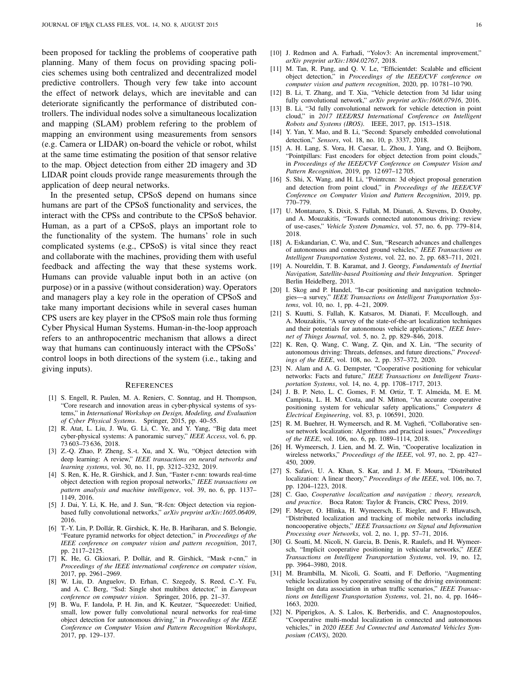been proposed for tackling the problems of cooperative path planning. Many of them focus on providing spacing policies schemes using both centralized and decentralized model predictive controllers. Though very few take into account the effect of network delays, which are inevitable and can deteriorate significantly the performance of distributed controllers. The individual nodes solve a simultaneous localization and mapping (SLAM) problem refering to the problem of mapping an environment using measurements from sensors (e.g. Camera or LIDAR) on-board the vehicle or robot, whilst at the same time estimating the position of that sensor relative to the map. Object detection from either 2D imagery and 3D LIDAR point clouds provide range measurements through the application of deep neural networks.

In the presented setup, CPSoS depend on humans since humans are part of the CPSoS functionality and services, the interact with the CPSs and contribute to the CPSoS behavior. Human, as a part of a CPSoS, plays an important role to the functionality of the system. The humans' role in such complicated systems (e.g., CPSoS) is vital since they react and collaborate with the machines, providing them with useful feedback and affecting the way that these systems work. Humans can provide valuable input both in an active (on purpose) or in a passive (without consideration) way. Operators and managers play a key role in the operation of CPSoS and take many important decisions while in several cases human CPS users are key player in the CPSoS main role thus forming Cyber Physical Human Systems. Human-in-the-loop approach refers to an anthropocentric mechanism that allows a direct way that humans can continuously interact with the CPSoSs' control loops in both directions of the system (i.e., taking and giving inputs).

#### **REFERENCES**

- <span id="page-15-0"></span>[1] S. Engell, R. Paulen, M. A. Reniers, C. Sonntag, and H. Thompson, "Core research and innovation areas in cyber-physical systems of systems," in *International Workshop on Design, Modeling, and Evaluation of Cyber Physical Systems*. Springer, 2015, pp. 40–55.
- <span id="page-15-1"></span>[2] R. Atat, L. Liu, J. Wu, G. Li, C. Ye, and Y. Yang, "Big data meet cyber-physical systems: A panoramic survey," *IEEE Access*, vol. 6, pp. 73 603–73 636, 2018.
- <span id="page-15-2"></span>[3] Z.-Q. Zhao, P. Zheng, S.-t. Xu, and X. Wu, "Object detection with deep learning: A review," *IEEE transactions on neural networks and learning systems*, vol. 30, no. 11, pp. 3212–3232, 2019.
- <span id="page-15-3"></span>[4] S. Ren, K. He, R. Girshick, and J. Sun, "Faster r-cnn: towards real-time object detection with region proposal networks," *IEEE transactions on pattern analysis and machine intelligence*, vol. 39, no. 6, pp. 1137– 1149, 2016.
- <span id="page-15-4"></span>[5] J. Dai, Y. Li, K. He, and J. Sun, "R-fcn: Object detection via regionbased fully convolutional networks," *arXiv preprint arXiv:1605.06409*, 2016.
- <span id="page-15-5"></span>[6] T.-Y. Lin, P. Dollár, R. Girshick, K. He, B. Hariharan, and S. Belongie, "Feature pyramid networks for object detection," in *Proceedings of the IEEE conference on computer vision and pattern recognition*, 2017, pp. 2117–2125.
- <span id="page-15-6"></span>[7] K. He, G. Gkioxari, P. Dollár, and R. Girshick, "Mask r-cnn," in *Proceedings of the IEEE international conference on computer vision*, 2017, pp. 2961–2969.
- <span id="page-15-7"></span>[8] W. Liu, D. Anguelov, D. Erhan, C. Szegedy, S. Reed, C.-Y. Fu, and A. C. Berg, "Ssd: Single shot multibox detector," in *European conference on computer vision*. Springer, 2016, pp. 21–37.
- <span id="page-15-8"></span>[9] B. Wu, F. Iandola, P. H. Jin, and K. Keutzer, "Squeezedet: Unified, small, low power fully convolutional neural networks for real-time object detection for autonomous driving," in *Proceedings of the IEEE Conference on Computer Vision and Pattern Recognition Workshops*, 2017, pp. 129–137.
- <span id="page-15-10"></span><span id="page-15-9"></span>[11] M. Tan, R. Pang, and Q. V. Le, "Efficientdet: Scalable and efficient object detection," in *Proceedings of the IEEE/CVF conference on computer vision and pattern recognition*, 2020, pp. 10 781–10 790.
- <span id="page-15-11"></span>[12] B. Li, T. Zhang, and T. Xia, "Vehicle detection from 3d lidar using fully convolutional network," *arXiv preprint arXiv:1608.07916*, 2016.
- <span id="page-15-12"></span>[13] B. Li, "3d fully convolutional network for vehicle detection in point cloud," in *2017 IEEE/RSJ International Conference on Intelligent Robots and Systems (IROS)*. IEEE, 2017, pp. 1513–1518.
- <span id="page-15-13"></span>[14] Y. Yan, Y. Mao, and B. Li, "Second: Sparsely embedded convolutional detection," *Sensors*, vol. 18, no. 10, p. 3337, 2018.
- <span id="page-15-14"></span>[15] A. H. Lang, S. Vora, H. Caesar, L. Zhou, J. Yang, and O. Beijbom, "Pointpillars: Fast encoders for object detection from point clouds," in *Proceedings of the IEEE/CVF Conference on Computer Vision and Pattern Recognition*, 2019, pp. 12 697–12 705.
- <span id="page-15-15"></span>[16] S. Shi, X. Wang, and H. Li, "Pointrcnn: 3d object proposal generation and detection from point cloud," in *Proceedings of the IEEE/CVF Conference on Computer Vision and Pattern Recognition*, 2019, pp. 770–779.
- <span id="page-15-16"></span>[17] U. Montanaro, S. Dixit, S. Fallah, M. Dianati, A. Stevens, D. Oxtoby, and A. Mouzakitis, "Towards connected autonomous driving: review of use-cases," *Vehicle System Dynamics*, vol. 57, no. 6, pp. 779–814, 2018.
- <span id="page-15-17"></span>[18] A. Eskandarian, C. Wu, and C. Sun, "Research advances and challenges of autonomous and connected ground vehicles," *IEEE Transactions on Intelligent Transportation Systems*, vol. 22, no. 2, pp. 683–711, 2021.
- <span id="page-15-18"></span>[19] A. Noureldin, T. B. Karamat, and J. Georgy, *Fundamentals of Inertial Navigation, Satellite-based Positioning and their Integration*. Springer Berlin Heidelberg, 2013.
- <span id="page-15-19"></span>[20] I. Skog and P. Handel, "In-car positioning and navigation technologies—a survey," *IEEE Transactions on Intelligent Transportation Systems*, vol. 10, no. 1, pp. 4–21, 2009.
- <span id="page-15-20"></span>[21] S. Kuutti, S. Fallah, K. Katsaros, M. Dianati, F. Mccullough, and A. Mouzakitis, "A survey of the state-of-the-art localization techniques and their potentials for autonomous vehicle applications," *IEEE Internet of Things Journal*, vol. 5, no. 2, pp. 829–846, 2018.
- <span id="page-15-21"></span>[22] K. Ren, Q. Wang, C. Wang, Z. Qin, and X. Lin, "The security of autonomous driving: Threats, defenses, and future directions," *Proceedings of the IEEE*, vol. 108, no. 2, pp. 357–372, 2020.
- <span id="page-15-22"></span>[23] N. Alam and A. G. Dempster, "Cooperative positioning for vehicular networks: Facts and future," *IEEE Transactions on Intelligent Transportation Systems*, vol. 14, no. 4, pp. 1708–1717, 2013.
- <span id="page-15-23"></span>[24] J. B. P. Neto, L. C. Gomes, F. M. Ortiz, T. T. Almeida, M. E. M. Campista, L. H. M. Costa, and N. Mitton, "An accurate cooperative positioning system for vehicular safety applications," *Computers & Electrical Engineering*, vol. 83, p. 106591, 2020.
- <span id="page-15-24"></span>[25] R. M. Buehrer, H. Wymeersch, and R. M. Vaghefi, "Collaborative sensor network localization: Algorithms and practical issues," *Proceedings of the IEEE*, vol. 106, no. 6, pp. 1089–1114, 2018.
- <span id="page-15-25"></span>[26] H. Wymeersch, J. Lien, and M. Z. Win, "Cooperative localization in wireless networks," *Proceedings of the IEEE*, vol. 97, no. 2, pp. 427– 450, 2009.
- <span id="page-15-26"></span>[27] S. Safavi, U. A. Khan, S. Kar, and J. M. F. Moura, "Distributed localization: A linear theory," *Proceedings of the IEEE*, vol. 106, no. 7, pp. 1204–1223, 2018.
- <span id="page-15-27"></span>[28] C. Gao, *Cooperative localization and navigation : theory, research, and practice*. Boca Raton: Taylor & Francis, CRC Press, 2019.
- <span id="page-15-28"></span>[29] F. Meyer, O. Hlinka, H. Wymeersch, E. Riegler, and F. Hlawatsch, "Distributed localization and tracking of mobile networks including noncooperative objects," *IEEE Transactions on Signal and Information Processing over Networks*, vol. 2, no. 1, pp. 57–71, 2016.
- <span id="page-15-29"></span>[30] G. Soatti, M. Nicoli, N. Garcia, B. Denis, R. Raulefs, and H. Wymeersch, "Implicit cooperative positioning in vehicular networks," *IEEE Transactions on Intelligent Transportation Systems*, vol. 19, no. 12, pp. 3964–3980, 2018.
- <span id="page-15-30"></span>[31] M. Brambilla, M. Nicoli, G. Soatti, and F. Deflorio, "Augmenting vehicle localization by cooperative sensing of the driving environment: Insight on data association in urban traffic scenarios," *IEEE Transactions on Intelligent Transportation Systems*, vol. 21, no. 4, pp. 1646– 1663, 2020.
- <span id="page-15-31"></span>[32] N. Piperigkos, A. S. Lalos, K. Berberidis, and C. Anagnostopoulos, "Cooperative multi-modal localization in connected and autonomous vehicles," in *2020 IEEE 3rd Connected and Automated Vehicles Symposium (CAVS)*, 2020.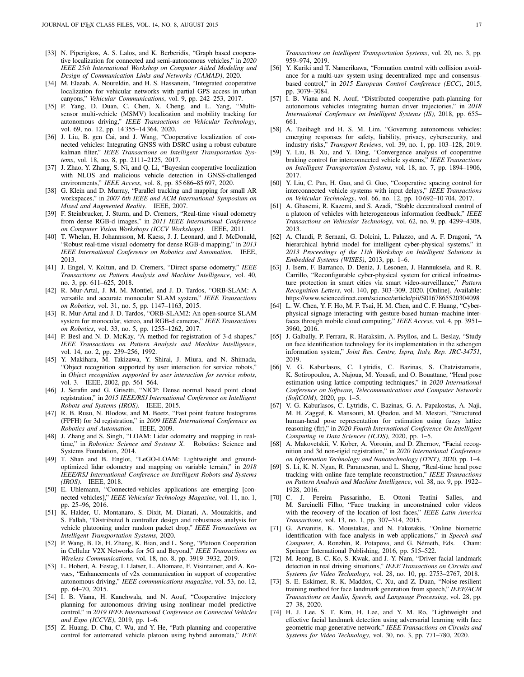- <span id="page-16-0"></span>[33] N. Piperigkos, A. S. Lalos, and K. Berberidis, "Graph based cooperative localization for connected and semi-autonomous vehicles," in *2020 IEEE 25th International Workshop on Computer Aided Modeling and Design of Communication Links and Networks (CAMAD)*, 2020.
- <span id="page-16-1"></span>[34] M. Elazab, A. Noureldin, and H. S. Hassanein, "Integrated cooperative localization for vehicular networks with partial GPS access in urban canyons," *Vehicular Communications*, vol. 9, pp. 242–253, 2017.
- <span id="page-16-2"></span>[35] P. Yang, D. Duan, C. Chen, X. Cheng, and L. Yang, "Multisensor multi-vehicle (MSMV) localization and mobility tracking for autonomous driving," *IEEE Transactions on Vehicular Technology*, vol. 69, no. 12, pp. 14 355–14 364, 2020.
- <span id="page-16-3"></span>[36] J. Liu, B. gen Cai, and J. Wang, "Cooperative localization of connected vehicles: Integrating GNSS with DSRC using a robust cubature kalman filter," *IEEE Transactions on Intelligent Transportation Systems*, vol. 18, no. 8, pp. 2111–2125, 2017.
- <span id="page-16-4"></span>[37] J. Zhao, Y. Zhang, S. Ni, and Q. Li, "Bayesian cooperative localization with NLOS and malicious vehicle detection in GNSS-challenged environments," *IEEE Access*, vol. 8, pp. 85 686–85 697, 2020.
- <span id="page-16-5"></span>[38] G. Klein and D. Murray, "Parallel tracking and mapping for small AR workspaces," in *2007 6th IEEE and ACM International Symposium on Mixed and Augmented Reality*. IEEE, 2007.
- <span id="page-16-6"></span>[39] F. Steinbrucker, J. Sturm, and D. Cremers, "Real-time visual odometry from dense RGB-d images," in *2011 IEEE International Conference on Computer Vision Workshops (ICCV Workshops)*. IEEE, 2011.
- <span id="page-16-7"></span>[40] T. Whelan, H. Johannsson, M. Kaess, J. J. Leonard, and J. McDonald, "Robust real-time visual odometry for dense RGB-d mapping," in *2013 IEEE International Conference on Robotics and Automation*. IEEE, 2013.
- <span id="page-16-8"></span>[41] J. Engel, V. Koltun, and D. Cremers, "Direct sparse odometry," *IEEE Transactions on Pattern Analysis and Machine Intelligence*, vol. 40, no. 3, pp. 611–625, 2018.
- <span id="page-16-9"></span>[42] R. Mur-Artal, J. M. M. Montiel, and J. D. Tardos, "ORB-SLAM: A versatile and accurate monocular SLAM system," *IEEE Transactions on Robotics*, vol. 31, no. 5, pp. 1147–1163, 2015.
- <span id="page-16-10"></span>[43] R. Mur-Artal and J. D. Tardos, "ORB-SLAM2: An open-source SLAM system for monocular, stereo, and RGB-d cameras," *IEEE Transactions on Robotics*, vol. 33, no. 5, pp. 1255–1262, 2017.
- <span id="page-16-11"></span>[44] P. Besl and N. D. McKay, "A method for registration of 3-d shapes," *IEEE Transactions on Pattern Analysis and Machine Intelligence*, vol. 14, no. 2, pp. 239–256, 1992.
- <span id="page-16-12"></span>[45] Y. Makihara, M. Takizawa, Y. Shirai, J. Miura, and N. Shimada, "Object recognition supported by user interaction for service robots," in *Object recognition supported by user interaction for service robots*, vol. 3. IEEE, 2002, pp. 561–564.
- <span id="page-16-13"></span>[46] J. Serafin and G. Grisetti, "NICP: Dense normal based point cloud registration," in *2015 IEEE/RSJ International Conference on Intelligent Robots and Systems (IROS)*. IEEE, 2015.
- <span id="page-16-14"></span>[47] R. B. Rusu, N. Blodow, and M. Beetz, "Fast point feature histograms (FPFH) for 3d registration," in *2009 IEEE International Conference on Robotics and Automation*. IEEE, 2009.
- <span id="page-16-15"></span>[48] J. Zhang and S. Singh, "LOAM: Lidar odometry and mapping in realtime," in *Robotics: Science and Systems X*. Robotics: Science and Systems Foundation, 2014.
- <span id="page-16-16"></span>[49] T. Shan and B. Englot, "LeGO-LOAM: Lightweight and groundoptimized lidar odometry and mapping on variable terrain," in *2018 IEEE/RSJ International Conference on Intelligent Robots and Systems (IROS)*. IEEE, 2018.
- <span id="page-16-17"></span>[50] E. Uhlemann, "Connected-vehicles applications are emerging [connected vehicles]," *IEEE Vehicular Technology Magazine*, vol. 11, no. 1, pp. 25–96, 2016.
- <span id="page-16-18"></span>[51] K. Halder, U. Montanaro, S. Dixit, M. Dianati, A. Mouzakitis, and S. Fallah, "Distributed h controller design and robustness analysis for vehicle platooning under random packet drop," *IEEE Transactions on Intelligent Transportation Systems*, 2020.
- <span id="page-16-19"></span>[52] P. Wang, B. Di, H. Zhang, K. Bian, and L. Song, "Platoon Cooperation in Cellular V2X Networks for 5G and Beyond," *IEEE Transactions on Wireless Communications*, vol. 18, no. 8, pp. 3919–3932, 2019.
- <span id="page-16-20"></span>[53] L. Hobert, A. Festag, I. Llatser, L. Altomare, F. Visintainer, and A. Kovacs, "Enhancements of v2x communication in support of cooperative autonomous driving," *IEEE communications magazine*, vol. 53, no. 12, pp. 64–70, 2015.
- <span id="page-16-21"></span>[54] I. B. Viana, H. Kanchwala, and N. Aouf, "Cooperative trajectory planning for autonomous driving using nonlinear model predictive control," in *2019 IEEE International Conference on Connected Vehicles and Expo (ICCVE)*, 2019, pp. 1–6.
- <span id="page-16-22"></span>[55] Z. Huang, D. Chu, C. Wu, and Y. He, "Path planning and cooperative control for automated vehicle platoon using hybrid automata," *IEEE*

*Transactions on Intelligent Transportation Systems*, vol. 20, no. 3, pp. 959–974, 2019.

- <span id="page-16-23"></span>[56] Y. Kuriki and T. Namerikawa, "Formation control with collision avoidance for a multi-uav system using decentralized mpc and consensusbased control," in *2015 European Control Conference (ECC)*, 2015, pp. 3079–3084.
- <span id="page-16-24"></span>[57] I. B. Viana and N. Aouf, "Distributed cooperative path-planning for autonomous vehicles integrating human driver trajectories," in *2018 International Conference on Intelligent Systems (IS)*, 2018, pp. 655– 661.
- <span id="page-16-25"></span>[58] A. Taeihagh and H. S. M. Lim, "Governing autonomous vehicles: emerging responses for safety, liability, privacy, cybersecurity, and industry risks," *Transport Reviews*, vol. 39, no. 1, pp. 103–128, 2019.
- <span id="page-16-26"></span>[59] Y. Liu, B. Xu, and Y. Ding, "Convergence analysis of cooperative braking control for interconnected vehicle systems," *IEEE Transactions on Intelligent Transportation Systems*, vol. 18, no. 7, pp. 1894–1906, 2017.
- <span id="page-16-27"></span>[60] Y. Liu, C. Pan, H. Gao, and G. Guo, "Cooperative spacing control for interconnected vehicle systems with input delays," *IEEE Transactions on Vehicular Technology*, vol. 66, no. 12, pp. 10 692–10 704, 2017.
- <span id="page-16-28"></span>[61] A. Ghasemi, R. Kazemi, and S. Azadi, "Stable decentralized control of a platoon of vehicles with heterogeneous information feedback," *IEEE Transactions on Vehicular Technology*, vol. 62, no. 9, pp. 4299–4308, 2013.
- <span id="page-16-29"></span>[62] A. Claudi, P. Sernani, G. Dolcini, L. Palazzo, and A. F. Dragoni, "A hierarchical hybrid model for intelligent cyber-physical systems," in *2013 Proceedings of the 11th Workshop on Intelligent Solutions in Embedded Systems (WISES)*, 2013, pp. 1–6.
- <span id="page-16-30"></span>[63] J. Isern, F. Barranco, D. Deniz, J. Lesonen, J. Hannuksela, and R. R. Carrillo, "Reconfigurable cyber-physical system for critical infrastructure protection in smart cities via smart video-surveillance," *Pattern Recognition Letters*, vol. 140, pp. 303–309, 2020. [Online]. Available: <https://www.sciencedirect.com/science/article/pii/S0167865520304098>
- <span id="page-16-31"></span>[64] L. W. Chen, Y. F. Ho, M. F. Tsai, H. M. Chen, and C. F. Huang, "Cyberphysical signage interacting with gesture-based human–machine interfaces through mobile cloud computing," *IEEE Access*, vol. 4, pp. 3951– 3960, 2016.
- <span id="page-16-32"></span>[65] J. Galbally, P. Ferrara, R. Haraksim, A. Psyllos, and L. Beslay, "Study on face identification technology for its implementation in the schengen information system," *Joint Res. Centre, Ispra, Italy, Rep. JRC-34751*, 2019.
- <span id="page-16-33"></span>[66] V. G. Kaburlasos, C. Lytridis, C. Bazinas, S. Chatzistamatis, K. Sotiropoulou, A. Najoua, M. Youssfi, and O. Bouattane, "Head pose estimation using lattice computing techniques," in *2020 International Conference on Software, Telecommunications and Computer Networks (SoftCOM)*, 2020, pp. 1–5.
- <span id="page-16-34"></span>[67] V. G. Kaburlasos, C. Lytridis, C. Bazinas, G. A. Papakostas, A. Naji, M. H. Zaggaf, K. Mansouri, M. Qbadou, and M. Mestari, "Structured human-head pose representation for estimation using fuzzy lattice reasoning (flr)," in *2020 Fourth International Conference On Intelligent Computing in Data Sciences (ICDS)*, 2020, pp. 1–5.
- <span id="page-16-35"></span>[68] A. Makovetskii, V. Kober, A. Voronin, and D. Zhernov, "Facial recognition and 3d non-rigid registration," in *2020 International Conference on Information Technology and Nanotechnology (ITNT)*, 2020, pp. 1–4.
- <span id="page-16-36"></span>[69] S. Li, K. N. Ngan, R. Paramesran, and L. Sheng, "Real-time head pose tracking with online face template reconstruction," *IEEE Transactions on Pattern Analysis and Machine Intelligence*, vol. 38, no. 9, pp. 1922– 1928, 2016.
- <span id="page-16-37"></span>[70] C. J. Pereira Passarinho, E. Ottoni Teatini Salles, and M. Sarcinelli Filho, "Face tracking in unconstrained color videos with the recovery of the location of lost faces," *IEEE Latin America Transactions*, vol. 13, no. 1, pp. 307–314, 2015.
- [71] G. Arvanitis, K. Moustakas, and N. Fakotakis, "Online biometric identification with face analysis in web applications," in *Speech and* Computer, A. Ronzhin, R. Potapova, and G. Németh, Eds. Cham: Springer International Publishing, 2016, pp. 515–522.
- <span id="page-16-38"></span>[72] M. Jeong, B. C. Ko, S. Kwak, and J.-Y. Nam, "Driver facial landmark detection in real driving situations," *IEEE Transactions on Circuits and Systems for Video Technology*, vol. 28, no. 10, pp. 2753–2767, 2018.
- <span id="page-16-39"></span>[73] S. E. Eskimez, R. K. Maddox, C. Xu, and Z. Duan, "Noise-resilient training method for face landmark generation from speech," *IEEE/ACM Transactions on Audio, Speech, and Language Processing*, vol. 28, pp. 27–38, 2020.
- <span id="page-16-40"></span>[74] H. J. Lee, S. T. Kim, H. Lee, and Y. M. Ro, "Lightweight and effective facial landmark detection using adversarial learning with face geometric map generative network," *IEEE Transactions on Circuits and Systems for Video Technology*, vol. 30, no. 3, pp. 771–780, 2020.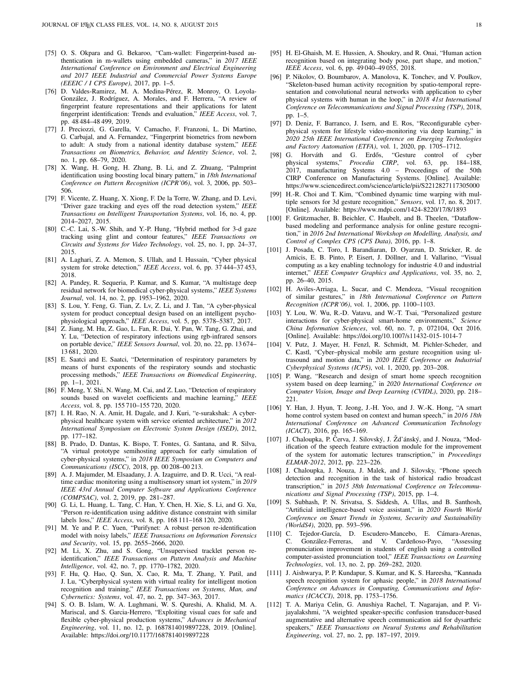- <span id="page-17-0"></span>[75] O. S. Okpara and G. Bekaroo, "Cam-wallet: Fingerprint-based authentication in m-wallets using embedded cameras," in *2017 IEEE International Conference on Environment and Electrical Engineering and 2017 IEEE Industrial and Commercial Power Systems Europe (EEEIC / I CPS Europe)*, 2017, pp. 1–5.
- <span id="page-17-1"></span>[76] D. Valdes-Ramirez, M. A. Medina-Pérez, R. Monroy, O. Loyola-González, J. Rodríguez, A. Morales, and F. Herrera, "A review of fingerprint feature representations and their applications for latent fingerprint identification: Trends and evaluation," *IEEE Access*, vol. 7, pp. 48 484–48 499, 2019.
- <span id="page-17-2"></span>[77] J. Preciozzi, G. Garella, V. Camacho, F. Franzoni, L. Di Martino, G. Carbajal, and A. Fernandez, "Fingerprint biometrics from newborn to adult: A study from a national identity database system," *IEEE Transactions on Biometrics, Behavior, and Identity Science*, vol. 2, no. 1, pp. 68–79, 2020.
- <span id="page-17-3"></span>[78] X. Wang, H. Gong, H. Zhang, B. Li, and Z. Zhuang, "Palmprint identification using boosting local binary pattern," in *18th International Conference on Pattern Recognition (ICPR'06)*, vol. 3, 2006, pp. 503– 506.
- <span id="page-17-4"></span>[79] F. Vicente, Z. Huang, X. Xiong, F. De la Torre, W. Zhang, and D. Levi, "Driver gaze tracking and eyes off the road detection system," *IEEE Transactions on Intelligent Transportation Systems*, vol. 16, no. 4, pp. 2014–2027, 2015.
- <span id="page-17-5"></span>[80] C.-C. Lai, S.-W. Shih, and Y.-P. Hung, "Hybrid method for 3-d gaze tracking using glint and contour features," *IEEE Transactions on Circuits and Systems for Video Technology*, vol. 25, no. 1, pp. 24–37, 2015.
- <span id="page-17-6"></span>[81] A. Laghari, Z. A. Memon, S. Ullah, and I. Hussain, "Cyber physical system for stroke detection," *IEEE Access*, vol. 6, pp. 37 444–37 453, 2018.
- <span id="page-17-7"></span>[82] A. Pandey, R. Sequeria, P. Kumar, and S. Kumar, "A multistage deep residual network for biomedical cyber-physical systems," *IEEE Systems Journal*, vol. 14, no. 2, pp. 1953–1962, 2020.
- <span id="page-17-8"></span>[83] S. Lou, Y. Feng, G. Tian, Z. Lv, Z. Li, and J. Tan, "A cyber-physical system for product conceptual design based on an intelligent psychophysiological approach," *IEEE Access*, vol. 5, pp. 5378–5387, 2017.
- <span id="page-17-9"></span>[84] Z. Jiang, M. Hu, Z. Gao, L. Fan, R. Dai, Y. Pan, W. Tang, G. Zhai, and Y. Lu, "Detection of respiratory infections using rgb-infrared sensors on portable device," *IEEE Sensors Journal*, vol. 20, no. 22, pp. 13 674– 13 681, 2020.
- <span id="page-17-10"></span>[85] E. Saatci and E. Saatci, "Determination of respiratory parameters by means of hurst exponents of the respiratory sounds and stochastic processing methods," *IEEE Transactions on Biomedical Engineering*, pp. 1–1, 2021.
- <span id="page-17-11"></span>[86] F. Meng, Y. Shi, N. Wang, M. Cai, and Z. Luo, "Detection of respiratory sounds based on wavelet coefficients and machine learning," *IEEE Access*, vol. 8, pp. 155 710–155 720, 2020.
- <span id="page-17-12"></span>[87] I. H. Rao, N. A. Amir, H. Dagale, and J. Kuri, "e-surakshak: A cyberphysical healthcare system with service oriented architecture," in *2012 International Symposium on Electronic System Design (ISED)*, 2012, pp. 177–182.
- <span id="page-17-13"></span>[88] B. Prado, D. Dantas, K. Bispo, T. Fontes, G. Santana, and R. Silva, "A virtual prototype semihosting approach for early simulation of cyber-physical systems," in *2018 IEEE Symposium on Computers and Communications (ISCC)*, 2018, pp. 00 208–00 213.
- <span id="page-17-14"></span>[89] A. J. Majumder, M. Elsaadany, J. A. Izaguirre, and D. R. Ucci, "A realtime cardiac monitoring using a multisensory smart iot system," in *2019 IEEE 43rd Annual Computer Software and Applications Conference (COMPSAC)*, vol. 2, 2019, pp. 281–287.
- <span id="page-17-15"></span>[90] G. Li, L. Huang, L. Tang, C. Han, Y. Chen, H. Xie, S. Li, and G. Xu, "Person re-identification using additive distance constraint with similar labels loss," *IEEE Access*, vol. 8, pp. 168 111–168 120, 2020.
- <span id="page-17-16"></span>[91] M. Ye and P. C. Yuen, "Purifynet: A robust person re-identification model with noisy labels," *IEEE Transactions on Information Forensics and Security*, vol. 15, pp. 2655–2666, 2020.
- <span id="page-17-17"></span>[92] M. Li, X. Zhu, and S. Gong, "Unsupervised tracklet person reidentification," *IEEE Transactions on Pattern Analysis and Machine Intelligence*, vol. 42, no. 7, pp. 1770–1782, 2020.
- <span id="page-17-18"></span>[93] F. Hu, Q. Hao, Q. Sun, X. Cao, R. Ma, T. Zhang, Y. Patil, and J. Lu, "Cyberphysical system with virtual reality for intelligent motion recognition and training," *IEEE Transactions on Systems, Man, and Cybernetics: Systems*, vol. 47, no. 2, pp. 347–363, 2017.
- [94] S. O. B. Islam, W. A. Lughmani, W. S. Qureshi, A. Khalid, M. A. Mariscal, and S. Garcia-Herrero, "Exploiting visual cues for safe and flexible cyber-physical production systems," *Advances in Mechanical Engineering*, vol. 11, no. 12, p. 1687814019897228, 2019. [Online]. Available:<https://doi.org/10.1177/1687814019897228>
- <span id="page-17-19"></span>[95] H. El-Ghaish, M. E. Hussien, A. Shoukry, and R. Onai, "Human action recognition based on integrating body pose, part shape, and motion," *IEEE Access*, vol. 6, pp. 49 040–49 055, 2018.
- <span id="page-17-20"></span>[96] P. Nikolov, O. Boumbarov, A. Manolova, K. Tonchev, and V. Poulkov, "Skeleton-based human activity recognition by spatio-temporal representation and convolutional neural networks with application to cyber physical systems with human in the loop," in *2018 41st International Conference on Telecommunications and Signal Processing (TSP)*, 2018, pp. 1–5.
- <span id="page-17-21"></span>[97] D. Deniz, F. Barranco, J. Isern, and E. Ros, "Reconfigurable cyberphysical system for lifestyle video-monitoring via deep learning," in *2020 25th IEEE International Conference on Emerging Technologies and Factory Automation (ETFA)*, vol. 1, 2020, pp. 1705–1712.
- <span id="page-17-22"></span>[98] G. Horváth and G. Erdős, "Gesture control of cyber physical systems," *Procedia CIRP*, vol. 63, pp. 184–188. Procedia CIRP, vol. 63, pp. 2017, manufacturing Systems 4.0 – Proceedings of the 50th CIRP Conference on Manufacturing Systems. [Online]. Available: <https://www.sciencedirect.com/science/article/pii/S2212827117305000>
- <span id="page-17-23"></span>[99] H.-R. Choi and T. Kim, "Combined dynamic time warping with multiple sensors for 3d gesture recognition," *Sensors*, vol. 17, no. 8, 2017. [Online]. Available:<https://www.mdpi.com/1424-8220/17/8/1893>
- <span id="page-17-24"></span>[100] F. Grützmacher, B. Beichler, C. Haubelt, and B. Theelen, "Dataflowbased modeling and performance analysis for online gesture recognition," in *2016 2nd International Workshop on Modelling, Analysis, and Control of Complex CPS (CPS Data)*, 2016, pp. 1–8.
- <span id="page-17-25"></span>[101] J. Posada, C. Toro, I. Barandiaran, D. Oyarzun, D. Stricker, R. de Amicis, E. B. Pinto, P. Eisert, J. Döllner, and I. Vallarino, "Visual computing as a key enabling technology for industrie 4.0 and industrial internet," *IEEE Computer Graphics and Applications*, vol. 35, no. 2, pp. 26–40, 2015.
- <span id="page-17-26"></span>[102] H. Aviles-Arriaga, L. Sucar, and C. Mendoza, "Visual recognition of similar gestures," in *18th International Conference on Pattern Recognition (ICPR'06)*, vol. 1, 2006, pp. 1100–1103.
- <span id="page-17-27"></span>[103] Y. Lou, W. Wu, R.-D. Vatavu, and W.-T. Tsai, "Personalized gesture interactions for cyber-physical smart-home environments," *Science China Information Sciences*, vol. 60, no. 7, p. 072104, Oct 2016. [Online]. Available:<https://doi.org/10.1007/s11432-015-1014-7>
- <span id="page-17-28"></span>[104] V. Putz, J. Mayer, H. Fenzl, R. Schmidt, M. Pichler-Scheder, and C. Kastl, "Cyber–physical mobile arm gesture recognition using ultrasound and motion data," in *2020 IEEE Conference on Industrial Cyberphysical Systems (ICPS)*, vol. 1, 2020, pp. 203–208.
- <span id="page-17-29"></span>[105] P. Wang, "Research and design of smart home speech recognition system based on deep learning," in *2020 International Conference on Computer Vision, Image and Deep Learning (CVIDL)*, 2020, pp. 218– 221.
- <span id="page-17-30"></span>[106] Y. Han, J. Hyun, T. Jeong, J.-H. Yoo, and J. W.-K. Hong, "A smart home control system based on context and human speech," in *2016 18th International Conference on Advanced Communication Technology (ICACT)*, 2016, pp. 165–169.
- <span id="page-17-31"></span>[107] J. Chaloupka, P. Cerva, J. Silovský, J. Žďánský, and J. Nouza, "Modification of the speech feature extraction module for the improvement of the system for automatic lectures transcription," in *Proceedings ELMAR-2012*, 2012, pp. 223–226.
- <span id="page-17-32"></span>[108] J. Chaloupka, J. Nouza, J. Malek, and J. Silovsky, "Phone speech detection and recognition in the task of historical radio broadcast transcription," in *2015 38th International Conference on Telecommunications and Signal Processing (TSP)*, 2015, pp. 1–4.
- <span id="page-17-33"></span>[109] S. Subhash, P. N. Srivatsa, S. Siddesh, A. Ullas, and B. Santhosh, "Artificial intelligence-based voice assistant," in *2020 Fourth World Conference on Smart Trends in Systems, Security and Sustainability (WorldS4)*, 2020, pp. 593–596.
- <span id="page-17-34"></span>[110] C. Tejedor-García, D. Escudero-Mancebo, E. Cámara-Arenas, González-Ferreras, and V. Cardeñoso-Payo, "Assessing pronunciation improvement in students of english using a controlled computer-assisted pronunciation tool," *IEEE Transactions on Learning Technologies*, vol. 13, no. 2, pp. 269–282, 2020.
- <span id="page-17-35"></span>[111] J. Aishwarya, P. P. Kundapur, S. Kumar, and K. S. Hareesha, "Kannada speech recognition system for aphasic people," in *2018 International Conference on Advances in Computing, Communications and Informatics (ICACCI)*, 2018, pp. 1753–1756.
- <span id="page-17-36"></span>[112] T. A. Mariya Celin, G. Anushiya Rachel, T. Nagarajan, and P. Vijayalakshmi, "A weighted speaker-specific confusion transducer-based augmentative and alternative speech communication aid for dysarthric speakers," *IEEE Transactions on Neural Systems and Rehabilitation Engineering*, vol. 27, no. 2, pp. 187–197, 2019.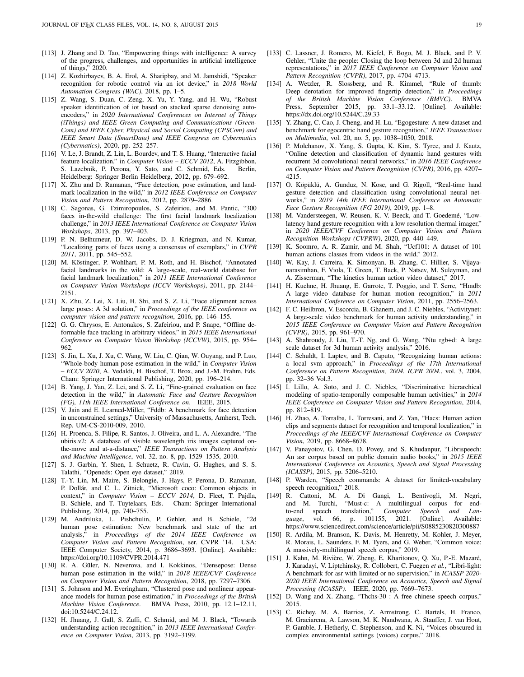- <span id="page-18-0"></span>[113] J. Zhang and D. Tao, "Empowering things with intelligence: A survey of the progress, challenges, and opportunities in artificial intelligence of things," 2020.
- <span id="page-18-1"></span>[114] Z. Kozhirbayev, B. A. Erol, A. Sharipbay, and M. Jamshidi, "Speaker recognition for robotic control via an iot device," in *2018 World Automation Congress (WAC)*, 2018, pp. 1–5.
- <span id="page-18-2"></span>[115] Z. Wang, S. Duan, C. Zeng, X. Yu, Y. Yang, and H. Wu, "Robust speaker identification of iot based on stacked sparse denoising autoencoders," in *2020 International Conferences on Internet of Things (iThings) and IEEE Green Computing and Communications (Green-Com) and IEEE Cyber, Physical and Social Computing (CPSCom) and IEEE Smart Data (SmartData) and IEEE Congress on Cybermatics (Cybermatics)*, 2020, pp. 252–257.
- [116] V. Le, J. Brandt, Z. Lin, L. Bourdev, and T. S. Huang, "Interactive facial feature localization," in *Computer Vision – ECCV 2012*, A. Fitzgibbon, S. Lazebnik, P. Perona, Y. Sato, and C. Schmid, Eds. Berlin, Heidelberg: Springer Berlin Heidelberg, 2012, pp. 679–692.
- <span id="page-18-3"></span>[117] X. Zhu and D. Ramanan, "Face detection, pose estimation, and landmark localization in the wild," in *2012 IEEE Conference on Computer Vision and Pattern Recognition*, 2012, pp. 2879–2886.
- <span id="page-18-4"></span>[118] C. Sagonas, G. Tzimiropoulos, S. Zafeiriou, and M. Pantic, "300 faces in-the-wild challenge: The first facial landmark localization challenge," in *2013 IEEE International Conference on Computer Vision Workshops*, 2013, pp. 397–403.
- <span id="page-18-5"></span>[119] P. N. Belhumeur, D. W. Jacobs, D. J. Kriegman, and N. Kumar, "Localizing parts of faces using a consensus of exemplars," in *CVPR 2011*, 2011, pp. 545–552.
- <span id="page-18-6"></span>[120] M. Köstinger, P. Wohlhart, P. M. Roth, and H. Bischof, "Annotated facial landmarks in the wild: A large-scale, real-world database for facial landmark localization," in *2011 IEEE International Conference on Computer Vision Workshops (ICCV Workshops)*, 2011, pp. 2144– 2151.
- <span id="page-18-7"></span>[121] X. Zhu, Z. Lei, X. Liu, H. Shi, and S. Z. Li, "Face alignment across large poses: A 3d solution," in *Proceedings of the IEEE conference on computer vision and pattern recognition*, 2016, pp. 146–155.
- <span id="page-18-8"></span>[122] G. G. Chrysos, E. Antonakos, S. Zafeiriou, and P. Snape, "Offline deformable face tracking in arbitrary videos," in *2015 IEEE International Conference on Computer Vision Workshop (ICCVW)*, 2015, pp. 954– 962.
- [123] S. Jin, L. Xu, J. Xu, C. Wang, W. Liu, C. Qian, W. Ouyang, and P. Luo, "Whole-body human pose estimation in the wild," in *Computer Vision – ECCV 2020*, A. Vedaldi, H. Bischof, T. Brox, and J.-M. Frahm, Eds. Cham: Springer International Publishing, 2020, pp. 196–214.
- <span id="page-18-9"></span>[124] B. Yang, J. Yan, Z. Lei, and S. Z. Li, "Fine-grained evaluation on face detection in the wild," in *Automatic Face and Gesture Recognition (FG), 11th IEEE International Conference on*. IEEE, 2015.
- <span id="page-18-10"></span>[125] V. Jain and E. Learned-Miller, "Fddb: A benchmark for face detection in unconstrained settings," University of Massachusetts, Amherst, Tech. Rep. UM-CS-2010-009, 2010.
- <span id="page-18-11"></span>[126] H. Proenca, S. Filipe, R. Santos, J. Oliveira, and L. A. Alexandre, "The ubiris.v2: A database of visible wavelength iris images captured onthe-move and at-a-distance," *IEEE Transactions on Pattern Analysis and Machine Intelligence*, vol. 32, no. 8, pp. 1529–1535, 2010.
- <span id="page-18-12"></span>[127] S. J. Garbin, Y. Shen, I. Schuetz, R. Cavin, G. Hughes, and S. S. Talathi, "Openeds: Open eye dataset," 2019.
- [128] T.-Y. Lin, M. Maire, S. Belongie, J. Hays, P. Perona, D. Ramanan, P. Dollár, and C. L. Zitnick, "Microsoft coco: Common objects in context," in *Computer Vision – ECCV 2014*, D. Fleet, T. Pajdla, B. Schiele, and T. Tuytelaars, Eds. Cham: Springer International Publishing, 2014, pp. 740–755.
- [129] M. Andriluka, L. Pishchulin, P. Gehler, and B. Schiele, "2d human pose estimation: New benchmark and state of the art analysis," in *Proceedings of the 2014 IEEE Conference on Computer Vision and Pattern Recognition*, ser. CVPR '14. USA: IEEE Computer Society, 2014, p. 3686–3693. [Online]. Available: <https://doi.org/10.1109/CVPR.2014.471>
- <span id="page-18-13"></span>[130] R. A. Güler, N. Neverova, and I. Kokkinos, "Densepose: Dense human pose estimation in the wild," in *2018 IEEE/CVF Conference on Computer Vision and Pattern Recognition*, 2018, pp. 7297–7306.
- <span id="page-18-14"></span>[131] S. Johnson and M. Everingham, "Clustered pose and nonlinear appearance models for human pose estimation," in *Proceedings of the British Machine Vision Conference*. BMVA Press, 2010, pp. 12.1–12.11, doi:10.5244/C.24.12.
- <span id="page-18-15"></span>[132] H. Jhuang, J. Gall, S. Zuffi, C. Schmid, and M. J. Black, "Towards understanding action recognition," in *2013 IEEE International Conference on Computer Vision*, 2013, pp. 3192–3199.
- <span id="page-18-16"></span>[133] C. Lassner, J. Romero, M. Kiefel, F. Bogo, M. J. Black, and P. V. Gehler, "Unite the people: Closing the loop between 3d and 2d human representations," in *2017 IEEE Conference on Computer Vision and Pattern Recognition (CVPR)*, 2017, pp. 4704–4713.
- <span id="page-18-17"></span>[134] A. Wetzler, R. Slossberg, and R. Kimmel, "Rule of thumb: Deep derotation for improved fingertip detection," in *Proceedings of the British Machine Vision Conference (BMVC)*. BMVA Press, September 2015, pp. 33.1–33.12. [Online]. Available: <https://dx.doi.org/10.5244/C.29.33>
- <span id="page-18-18"></span>[135] Y. Zhang, C. Cao, J. Cheng, and H. Lu, "Egogesture: A new dataset and benchmark for egocentric hand gesture recognition," *IEEE Transactions on Multimedia*, vol. 20, no. 5, pp. 1038–1050, 2018.
- <span id="page-18-19"></span>[136] P. Molchanov, X. Yang, S. Gupta, K. Kim, S. Tyree, and J. Kautz, "Online detection and classification of dynamic hand gestures with recurrent 3d convolutional neural networks," in *2016 IEEE Conference on Computer Vision and Pattern Recognition (CVPR)*, 2016, pp. 4207– 4215.
- <span id="page-18-20"></span>[137] O. Köpüklü, A. Gunduz, N. Kose, and G. Rigoll, "Real-time hand gesture detection and classification using convolutional neural networks," in *2019 14th IEEE International Conference on Automatic Face Gesture Recognition (FG 2019)*, 2019, pp. 1–8.
- <span id="page-18-21"></span>[138] M. Vandersteegen, W. Reusen, K. V. Beeck, and T. Goedemé, "Lowlatency hand gesture recognition with a low resolution thermal imager," in *2020 IEEE/CVF Conference on Computer Vision and Pattern Recognition Workshops (CVPRW)*, 2020, pp. 440–449.
- <span id="page-18-22"></span>[139] K. Soomro, A. R. Zamir, and M. Shah, "Ucf101: A dataset of 101 human actions classes from videos in the wild," 2012.
- <span id="page-18-23"></span>[140] W. Kay, J. Carreira, K. Simonyan, B. Zhang, C. Hillier, S. Vijayanarasimhan, F. Viola, T. Green, T. Back, P. Natsev, M. Suleyman, and A. Zisserman, "The kinetics human action video dataset," 2017.
- <span id="page-18-24"></span>[141] H. Kuehne, H. Jhuang, E. Garrote, T. Poggio, and T. Serre, "Hmdb: A large video database for human motion recognition," in *2011 International Conference on Computer Vision*, 2011, pp. 2556–2563.
- <span id="page-18-25"></span>[142] F. C. Heilbron, V. Escorcia, B. Ghanem, and J. C. Niebles, "Activitynet: A large-scale video benchmark for human activity understanding," in *2015 IEEE Conference on Computer Vision and Pattern Recognition (CVPR)*, 2015, pp. 961–970.
- <span id="page-18-26"></span>[143] A. Shahroudy, J. Liu, T.-T. Ng, and G. Wang, "Ntu rgb+d: A large scale dataset for 3d human activity analysis," 2016.
- <span id="page-18-27"></span>[144] C. Schuldt, I. Laptev, and B. Caputo, "Recognizing human actions: a local svm approach," in *Proceedings of the 17th International Conference on Pattern Recognition, 2004. ICPR 2004.*, vol. 3, 2004, pp. 32–36 Vol.3.
- <span id="page-18-28"></span>[145] I. Lillo, A. Soto, and J. C. Niebles, "Discriminative hierarchical modeling of spatio-temporally composable human activities," in *2014 IEEE Conference on Computer Vision and Pattern Recognition*, 2014, pp. 812–819.
- <span id="page-18-29"></span>[146] H. Zhao, A. Torralba, L. Torresani, and Z. Yan, "Hacs: Human action clips and segments dataset for recognition and temporal localization," in *Proceedings of the IEEE/CVF International Conference on Computer Vision*, 2019, pp. 8668–8678.
- <span id="page-18-30"></span>[147] V. Panayotov, G. Chen, D. Povey, and S. Khudanpur, "Librispeech: An asr corpus based on public domain audio books," in *2015 IEEE International Conference on Acoustics, Speech and Signal Processing (ICASSP)*, 2015, pp. 5206–5210.
- <span id="page-18-31"></span>[148] P. Warden, "Speech commands: A dataset for limited-vocabulary speech recognition," 2018.
- <span id="page-18-32"></span>[149] R. Cattoni, M. A. Di Gangi, L. Bentivogli, M. Negri, and M. Turchi, "Must-c: A multilingual corpus for end-<br>to-end speech translation," *Computer Speech and Lan*to-end speech translation," *Computer Speech and guage*, vol. 66, p. 101155, 2021. [Online]. Available: <https://www.sciencedirect.com/science/article/pii/S0885230820300887>
- <span id="page-18-33"></span>[150] R. Ardila, M. Branson, K. Davis, M. Henretty, M. Kohler, J. Meyer, R. Morais, L. Saunders, F. M. Tyers, and G. Weber, "Common voice: A massively-multilingual speech corpus," 2019.
- <span id="page-18-34"></span>[151] J. Kahn, M. Rivière, W. Zheng, E. Kharitonov, Q. Xu, P.-E. Mazaré, J. Karadayi, V. Liptchinsky, R. Collobert, C. Fuegen *et al.*, "Libri-light: A benchmark for asr with limited or no supervision," in *ICASSP 2020- 2020 IEEE International Conference on Acoustics, Speech and Signal Processing (ICASSP)*. IEEE, 2020, pp. 7669–7673.
- <span id="page-18-35"></span>[152] D. Wang and X. Zhang, "Thchs-30 : A free chinese speech corpus," 2015.
- <span id="page-18-36"></span>[153] C. Richey, M. A. Barrios, Z. Armstrong, C. Bartels, H. Franco, M. Graciarena, A. Lawson, M. K. Nandwana, A. Stauffer, J. van Hout, P. Gamble, J. Hetherly, C. Stephenson, and K. Ni, "Voices obscured in complex environmental settings (voices) corpus," 2018.